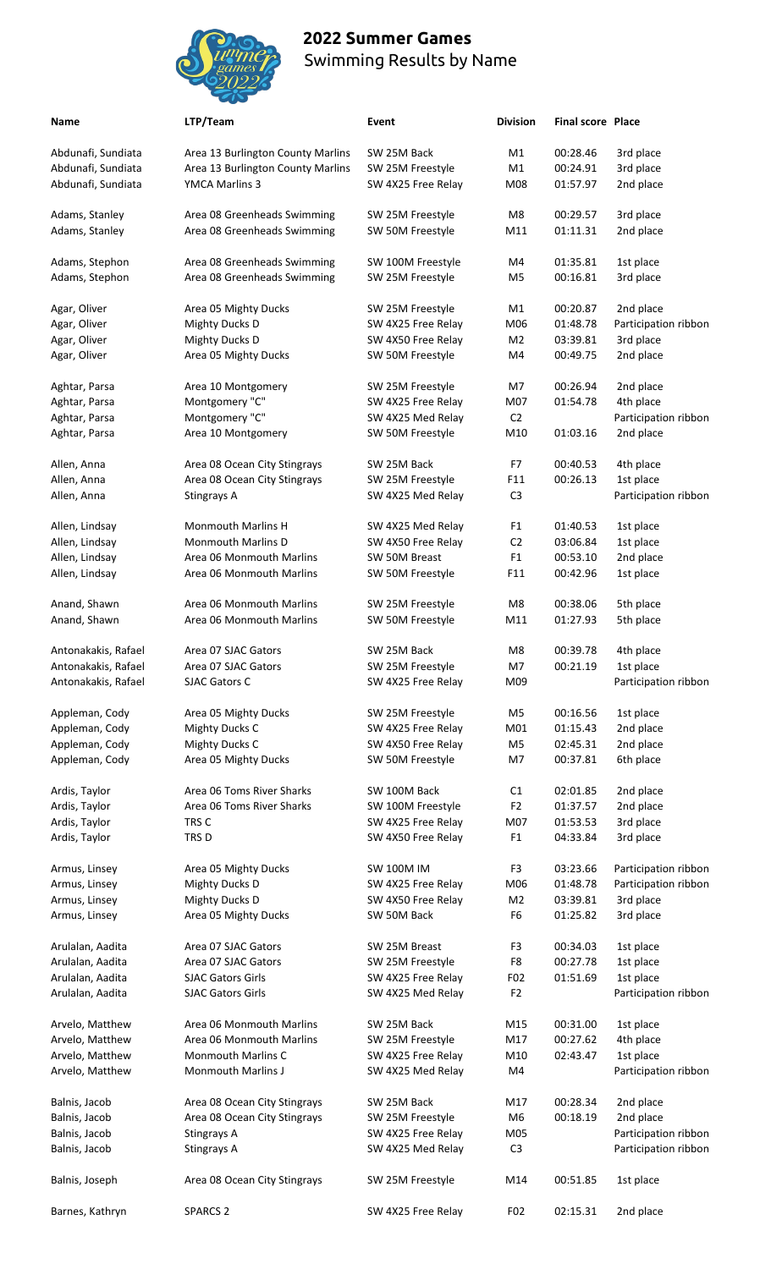

**Name** *LTP**LTP**LTP**Division* **<b>Final score Place** 

| ۰.<br>×<br>×<br>. . |
|---------------------|
|---------------------|

Balnis, Joseph **Area 08 Ocean City Stingrays** SW 25M Freestyle M14 00:51.85 1st place

Barnes, Kathryn SPARCS 2 SW 4X25 Free Relay F02 02:15.31 2nd place

| LTP/Team |
|----------|
|          |

| Abdunafi, Sundiata                 | Area 13 Burlington County Marlins                    | SW 25M Back                     | M1             | 00:28.46             | 3rd place              |
|------------------------------------|------------------------------------------------------|---------------------------------|----------------|----------------------|------------------------|
| Abdunafi, Sundiata                 | Area 13 Burlington County Marlins                    | SW 25M Freestyle                | M1             | 00:24.91             | 3rd place              |
| Abdunafi, Sundiata                 | YMCA Marlins 3                                       | SW 4X25 Free Relay              | M08            | 01:57.97             | 2nd place              |
| Adams, Stanley                     | Area 08 Greenheads Swimming                          | SW 25M Freestyle                | M8             | 00:29.57             | 3rd place              |
| Adams, Stanley                     | Area 08 Greenheads Swimming                          | SW 50M Freestyle                | M11            | 01:11.31             | 2nd place              |
|                                    |                                                      |                                 |                |                      |                        |
| Adams, Stephon                     | Area 08 Greenheads Swimming                          | SW 100M Freestyle               | M4             | 01:35.81             | 1st place              |
| Adams, Stephon                     | Area 08 Greenheads Swimming                          | SW 25M Freestyle                | M5             | 00:16.81             | 3rd place              |
| Agar, Oliver                       | Area 05 Mighty Ducks                                 | SW 25M Freestyle                | M1             | 00:20.87             | 2nd place              |
| Agar, Oliver                       | <b>Mighty Ducks D</b>                                | SW 4X25 Free Relay              | M06            | 01:48.78             | Participation ribbon   |
| Agar, Oliver                       | <b>Mighty Ducks D</b>                                | SW 4X50 Free Relay              | M <sub>2</sub> | 03:39.81             | 3rd place              |
| Agar, Oliver                       | Area 05 Mighty Ducks                                 | SW 50M Freestyle                | M4             | 00:49.75             | 2nd place              |
| Aghtar, Parsa                      | Area 10 Montgomery                                   | SW 25M Freestyle                | M7             | 00:26.94             | 2nd place              |
| Aghtar, Parsa                      | Montgomery "C"                                       | SW 4X25 Free Relay              | M07            | 01:54.78             | 4th place              |
| Aghtar, Parsa                      | Montgomery "C"                                       | SW 4X25 Med Relay               | C <sub>2</sub> |                      | Participation ribbon   |
| Aghtar, Parsa                      | Area 10 Montgomery                                   | SW 50M Freestyle                | M10            | 01:03.16             | 2nd place              |
|                                    |                                                      |                                 |                |                      |                        |
| Allen, Anna                        | Area 08 Ocean City Stingrays                         | SW 25M Back                     | F7             | 00:40.53             | 4th place              |
| Allen, Anna                        | Area 08 Ocean City Stingrays                         | SW 25M Freestyle                | F11            | 00:26.13             | 1st place              |
| Allen, Anna                        | Stingrays A                                          | SW 4X25 Med Relay               | C <sub>3</sub> |                      | Participation ribbon   |
| Allen, Lindsay                     | <b>Monmouth Marlins H</b>                            | SW 4X25 Med Relay               | F <sub>1</sub> | 01:40.53             | 1st place              |
| Allen, Lindsay                     | Monmouth Marlins D                                   | SW 4X50 Free Relay              | C <sub>2</sub> | 03:06.84             | 1st place              |
| Allen, Lindsay                     | Area 06 Monmouth Marlins                             | SW 50M Breast                   | F <sub>1</sub> | 00:53.10             | 2nd place              |
| Allen, Lindsay                     | Area 06 Monmouth Marlins                             | SW 50M Freestyle                | F11            | 00:42.96             | 1st place              |
|                                    | Area 06 Monmouth Marlins                             |                                 | M8             | 00:38.06             | 5th place              |
| Anand, Shawn                       |                                                      | SW 25M Freestyle                |                |                      |                        |
| Anand, Shawn                       | Area 06 Monmouth Marlins                             | SW 50M Freestyle                | M11            | 01:27.93             | 5th place              |
| Antonakakis, Rafael                | Area 07 SJAC Gators                                  | SW 25M Back                     | M8             | 00:39.78             | 4th place              |
| Antonakakis, Rafael                | Area 07 SJAC Gators                                  | SW 25M Freestyle                | M7             | 00:21.19             | 1st place              |
| Antonakakis, Rafael                | SJAC Gators C                                        | SW 4X25 Free Relay              | M09            |                      | Participation ribbon   |
| Appleman, Cody                     | Area 05 Mighty Ducks                                 | SW 25M Freestyle                | M5             | 00:16.56             | 1st place              |
| Appleman, Cody                     | <b>Mighty Ducks C</b>                                | SW 4X25 Free Relay              | M01            | 01:15.43             | 2nd place              |
| Appleman, Cody                     | <b>Mighty Ducks C</b>                                | SW 4X50 Free Relay              | M <sub>5</sub> | 02:45.31             | 2nd place              |
| Appleman, Cody                     | Area 05 Mighty Ducks                                 | SW 50M Freestyle                | M7             | 00:37.81             | 6th place              |
|                                    |                                                      |                                 |                |                      |                        |
| Ardis, Taylor                      | Area 06 Toms River Sharks                            | SW 100M Back                    | C1             | 02:01.85             | 2nd place              |
| Ardis, Taylor                      | Area 06 Toms River Sharks                            | SW 100M Freestyle               | F <sub>2</sub> | 01:37.57             | 2nd place              |
| Ardis, Taylor                      | TRS C                                                | SW 4X25 Free Relay              | M07            | 01:53.53             | 3rd place              |
| Ardis, Taylor                      | TRS D                                                | SW 4X50 Free Relay              | F <sub>1</sub> | 04:33.84             | 3rd place              |
| Armus, Linsey                      | Area 05 Mighty Ducks                                 | <b>SW 100M IM</b>               | F3             | 03:23.66             | Participation ribbon   |
| Armus, Linsey                      | <b>Mighty Ducks D</b>                                | SW 4X25 Free Relay              | M06            | 01:48.78             | Participation ribbon   |
| Armus, Linsey                      | <b>Mighty Ducks D</b>                                | SW 4X50 Free Relay              | M <sub>2</sub> | 03:39.81             | 3rd place              |
| Armus, Linsey                      | Area 05 Mighty Ducks                                 | SW 50M Back                     | F <sub>6</sub> | 01:25.82             | 3rd place              |
| Arulalan, Aadita                   | Area 07 SJAC Gators                                  | SW 25M Breast                   | F <sub>3</sub> | 00:34.03             | 1st place              |
| Arulalan, Aadita                   | Area 07 SJAC Gators                                  | SW 25M Freestyle                | F8             | 00:27.78             | 1st place              |
| Arulalan, Aadita                   | <b>SJAC Gators Girls</b>                             | SW 4X25 Free Relay              | F02            | 01:51.69             | 1st place              |
| Arulalan, Aadita                   | <b>SJAC Gators Girls</b>                             | SW 4X25 Med Relay               | F <sub>2</sub> |                      | Participation ribbon   |
|                                    |                                                      |                                 |                |                      |                        |
| Arvelo, Matthew<br>Arvelo, Matthew | Area 06 Monmouth Marlins<br>Area 06 Monmouth Marlins | SW 25M Back<br>SW 25M Freestyle | M15<br>M17     | 00:31.00<br>00:27.62 | 1st place<br>4th place |
|                                    |                                                      |                                 |                |                      |                        |
| Arvelo, Matthew                    | <b>Monmouth Marlins C</b>                            | SW 4X25 Free Relay              | M10            | 02:43.47             | 1st place              |
| Arvelo, Matthew                    | Monmouth Marlins J                                   | SW 4X25 Med Relay               | M4             |                      | Participation ribbon   |
| Balnis, Jacob                      | Area 08 Ocean City Stingrays                         | SW 25M Back                     | M17            | 00:28.34             | 2nd place              |
| Balnis, Jacob                      | Area 08 Ocean City Stingrays                         | SW 25M Freestyle                | M <sub>6</sub> | 00:18.19             | 2nd place              |
| Balnis, Jacob                      | Stingrays A                                          | SW 4X25 Free Relay              | M05            |                      | Participation ribbon   |
| Balnis, Jacob                      | Stingrays A                                          | SW 4X25 Med Relay               | C <sub>3</sub> |                      | Participation ribbon   |
|                                    |                                                      |                                 |                |                      |                        |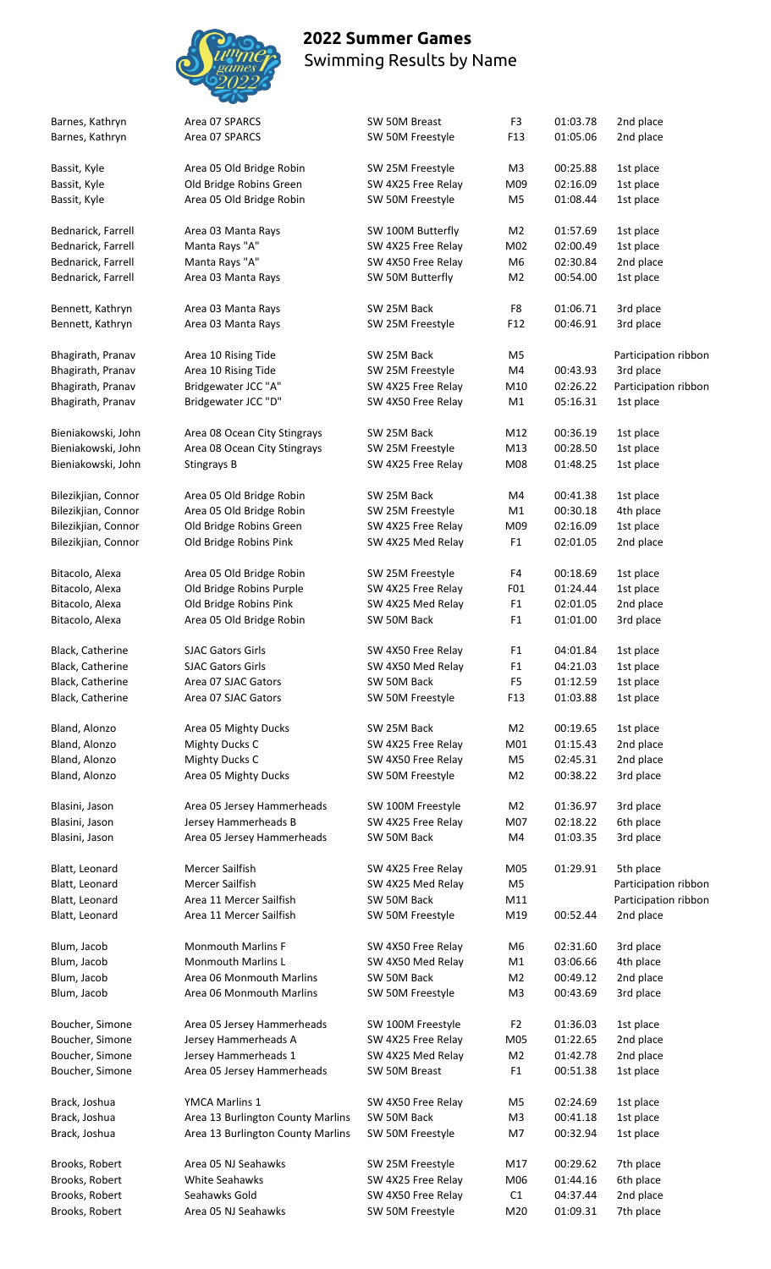

| Barnes, Kathryn     | Area 07 SPARCS                    | SW 50M Breast      | F <sub>3</sub>  | 01:03.78 | 2nd place            |
|---------------------|-----------------------------------|--------------------|-----------------|----------|----------------------|
| Barnes, Kathryn     | Area 07 SPARCS                    | SW 50M Freestyle   | F <sub>13</sub> | 01:05.06 | 2nd place            |
|                     |                                   |                    |                 |          |                      |
| Bassit, Kyle        | Area 05 Old Bridge Robin          | SW 25M Freestyle   | M <sub>3</sub>  | 00:25.88 | 1st place            |
| Bassit, Kyle        | Old Bridge Robins Green           | SW 4X25 Free Relay | M09             | 02:16.09 | 1st place            |
|                     |                                   |                    |                 |          |                      |
| Bassit, Kyle        | Area 05 Old Bridge Robin          | SW 50M Freestyle   | M <sub>5</sub>  | 01:08.44 | 1st place            |
|                     |                                   |                    |                 |          |                      |
| Bednarick, Farrell  | Area 03 Manta Rays                | SW 100M Butterfly  | M2              | 01:57.69 | 1st place            |
| Bednarick, Farrell  | Manta Rays "A"                    | SW 4X25 Free Relay | M02             | 02:00.49 | 1st place            |
| Bednarick, Farrell  | Manta Rays "A"                    | SW 4X50 Free Relay | M <sub>6</sub>  | 02:30.84 | 2nd place            |
| Bednarick, Farrell  | Area 03 Manta Rays                | SW 50M Butterfly   | M <sub>2</sub>  | 00:54.00 | 1st place            |
|                     |                                   |                    |                 |          |                      |
| Bennett, Kathryn    | Area 03 Manta Rays                | SW 25M Back        | F8              | 01:06.71 | 3rd place            |
| Bennett, Kathryn    | Area 03 Manta Rays                | SW 25M Freestyle   | F12             | 00:46.91 | 3rd place            |
|                     |                                   |                    |                 |          |                      |
|                     |                                   |                    |                 |          |                      |
| Bhagirath, Pranav   | Area 10 Rising Tide               | SW 25M Back        | M5              |          | Participation ribbon |
| Bhagirath, Pranav   | Area 10 Rising Tide               | SW 25M Freestyle   | M4              | 00:43.93 | 3rd place            |
| Bhagirath, Pranav   | Bridgewater JCC "A"               | SW 4X25 Free Relay | M10             | 02:26.22 | Participation ribbon |
| Bhagirath, Pranav   | Bridgewater JCC "D"               | SW 4X50 Free Relay | M1              | 05:16.31 | 1st place            |
|                     |                                   |                    |                 |          |                      |
| Bieniakowski, John  | Area 08 Ocean City Stingrays      | SW 25M Back        | M12             | 00:36.19 | 1st place            |
| Bieniakowski, John  | Area 08 Ocean City Stingrays      | SW 25M Freestyle   | M13             | 00:28.50 | 1st place            |
| Bieniakowski, John  | Stingrays B                       | SW 4X25 Free Relay | M08             | 01:48.25 | 1st place            |
|                     |                                   |                    |                 |          |                      |
|                     |                                   |                    |                 |          |                      |
| Bilezikjian, Connor | Area 05 Old Bridge Robin          | SW 25M Back        | M4              | 00:41.38 | 1st place            |
| Bilezikjian, Connor | Area 05 Old Bridge Robin          | SW 25M Freestyle   | M1              | 00:30.18 | 4th place            |
| Bilezikjian, Connor | Old Bridge Robins Green           | SW 4X25 Free Relay | M09             | 02:16.09 | 1st place            |
| Bilezikjian, Connor | Old Bridge Robins Pink            | SW 4X25 Med Relay  | F <sub>1</sub>  | 02:01.05 | 2nd place            |
|                     |                                   |                    |                 |          |                      |
| Bitacolo, Alexa     | Area 05 Old Bridge Robin          | SW 25M Freestyle   | F4              | 00:18.69 | 1st place            |
| Bitacolo, Alexa     | Old Bridge Robins Purple          | SW 4X25 Free Relay | F01             | 01:24.44 | 1st place            |
|                     | Old Bridge Robins Pink            |                    |                 | 02:01.05 |                      |
| Bitacolo, Alexa     |                                   | SW 4X25 Med Relay  | F <sub>1</sub>  |          | 2nd place            |
| Bitacolo, Alexa     | Area 05 Old Bridge Robin          | SW 50M Back        | F <sub>1</sub>  | 01:01.00 | 3rd place            |
|                     |                                   |                    |                 |          |                      |
| Black, Catherine    | <b>SJAC Gators Girls</b>          | SW 4X50 Free Relay | F <sub>1</sub>  | 04:01.84 | 1st place            |
| Black, Catherine    | <b>SJAC Gators Girls</b>          | SW 4X50 Med Relay  | F <sub>1</sub>  | 04:21.03 | 1st place            |
| Black, Catherine    | Area 07 SJAC Gators               | SW 50M Back        | F <sub>5</sub>  | 01:12.59 | 1st place            |
| Black, Catherine    | Area 07 SJAC Gators               | SW 50M Freestyle   | F <sub>13</sub> | 01:03.88 | 1st place            |
|                     |                                   |                    |                 |          |                      |
| Bland, Alonzo       | Area 05 Mighty Ducks              | SW 25M Back        | M2              | 00:19.65 | 1st place            |
|                     |                                   |                    |                 |          |                      |
| Bland, Alonzo       | <b>Mighty Ducks C</b>             | SW 4X25 Free Relay | M01             | 01:15.43 | 2nd place            |
| Bland, Alonzo       | <b>Mighty Ducks C</b>             | SW 4X50 Free Relay | M5              | 02:45.31 | 2nd place            |
| Bland, Alonzo       | Area 05 Mighty Ducks              | SW 50M Freestyle   | M <sub>2</sub>  | 00:38.22 | 3rd place            |
|                     |                                   |                    |                 |          |                      |
| Blasini, Jason      | Area 05 Jersey Hammerheads        | SW 100M Freestyle  | M2              | 01:36.97 | 3rd place            |
| Blasini, Jason      | Jersey Hammerheads B              | SW 4X25 Free Relay | M07             | 02:18.22 | 6th place            |
| Blasini, Jason      | Area 05 Jersey Hammerheads        | SW 50M Back        | M4              | 01:03.35 | 3rd place            |
|                     |                                   |                    |                 |          |                      |
| Blatt, Leonard      | Mercer Sailfish                   | SW 4X25 Free Relay | M05             | 01:29.91 | 5th place            |
| Blatt, Leonard      | Mercer Sailfish                   | SW 4X25 Med Relay  | M5              |          | Participation ribbon |
|                     |                                   |                    |                 |          |                      |
| Blatt, Leonard      | Area 11 Mercer Sailfish           | SW 50M Back        | M11             |          | Participation ribbon |
| Blatt, Leonard      | Area 11 Mercer Sailfish           | SW 50M Freestyle   | M19             | 00:52.44 | 2nd place            |
|                     |                                   |                    |                 |          |                      |
| Blum, Jacob         | <b>Monmouth Marlins F</b>         | SW 4X50 Free Relay | M6              | 02:31.60 | 3rd place            |
| Blum, Jacob         | <b>Monmouth Marlins L</b>         | SW 4X50 Med Relay  | M1              | 03:06.66 | 4th place            |
| Blum, Jacob         | Area 06 Monmouth Marlins          | SW 50M Back        | M <sub>2</sub>  | 00:49.12 | 2nd place            |
| Blum, Jacob         | Area 06 Monmouth Marlins          | SW 50M Freestyle   | M3              | 00:43.69 | 3rd place            |
|                     |                                   |                    |                 |          |                      |
|                     |                                   |                    | F <sub>2</sub>  | 01:36.03 | 1st place            |
| Boucher, Simone     | Area 05 Jersey Hammerheads        | SW 100M Freestyle  |                 |          |                      |
| Boucher, Simone     | Jersey Hammerheads A              | SW 4X25 Free Relay | M05             | 01:22.65 | 2nd place            |
| Boucher, Simone     | Jersey Hammerheads 1              | SW 4X25 Med Relay  | M <sub>2</sub>  | 01:42.78 | 2nd place            |
| Boucher, Simone     | Area 05 Jersey Hammerheads        | SW 50M Breast      | F <sub>1</sub>  | 00:51.38 | 1st place            |
|                     |                                   |                    |                 |          |                      |
| Brack, Joshua       | YMCA Marlins 1                    | SW 4X50 Free Relay | M <sub>5</sub>  | 02:24.69 | 1st place            |
| Brack, Joshua       | Area 13 Burlington County Marlins | SW 50M Back        | M3              | 00:41.18 | 1st place            |
| Brack, Joshua       | Area 13 Burlington County Marlins | SW 50M Freestyle   | M7              | 00:32.94 | 1st place            |
|                     |                                   |                    |                 |          |                      |
|                     |                                   |                    |                 |          |                      |
| Brooks, Robert      | Area 05 NJ Seahawks               | SW 25M Freestyle   | M17             | 00:29.62 | 7th place            |
| Brooks, Robert      | <b>White Seahawks</b>             | SW 4X25 Free Relay | M06             | 01:44.16 | 6th place            |
| Brooks, Robert      | Seahawks Gold                     | SW 4X50 Free Relay | C1              | 04:37.44 | 2nd place            |
| Brooks, Robert      | Area 05 NJ Seahawks               | SW 50M Freestyle   | M20             | 01:09.31 | 7th place            |
|                     |                                   |                    |                 |          |                      |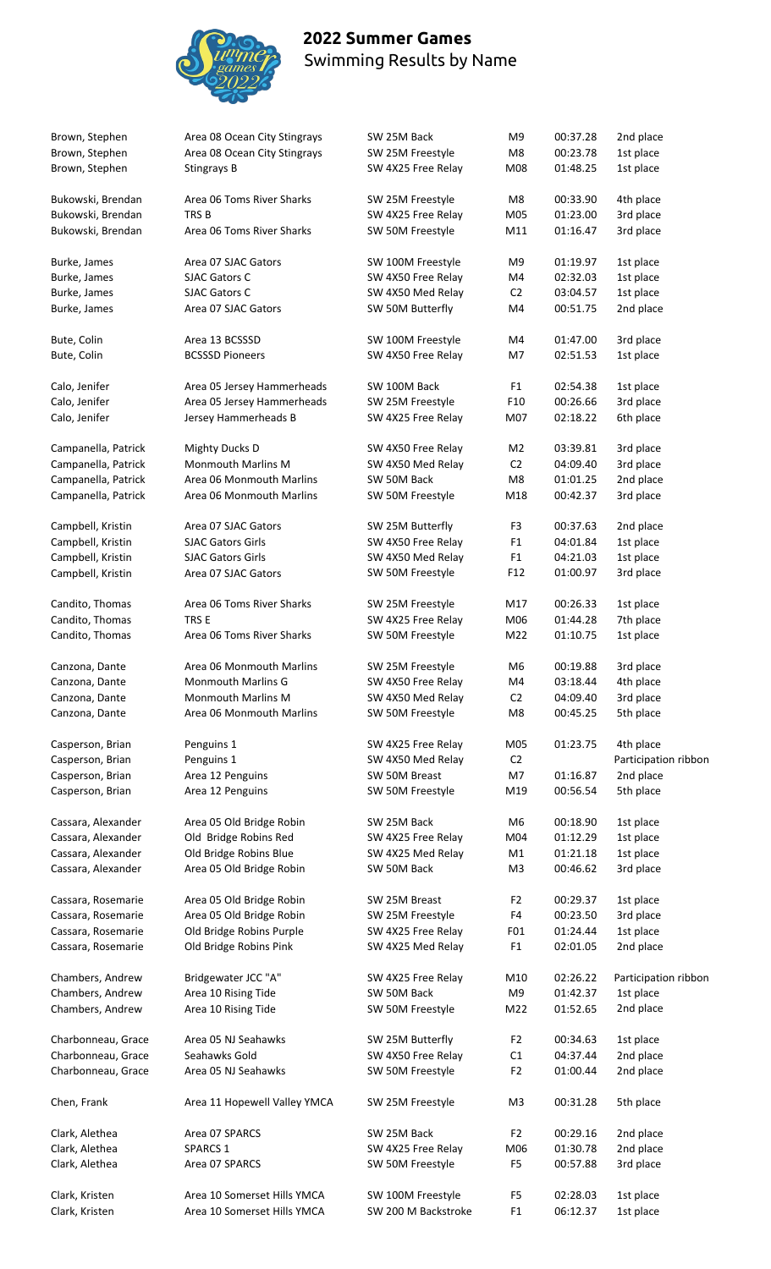

Clark, Kristen **Area 10 Somerset Hills YMCA** SW 200 M Backstroke F1 06:12.37 1st place

| Brown, Stephen                           | Area 08 Ocean City Stingrays                       | SW 25M Back                             | M9                    | 00:37.28             | 2nd place              |
|------------------------------------------|----------------------------------------------------|-----------------------------------------|-----------------------|----------------------|------------------------|
| Brown, Stephen                           | Area 08 Ocean City Stingrays                       | SW 25M Freestyle                        | M8                    | 00:23.78             | 1st place              |
| Brown, Stephen                           | Stingrays B                                        | SW 4X25 Free Relay                      | M08                   | 01:48.25             | 1st place              |
|                                          |                                                    |                                         |                       |                      |                        |
| Bukowski, Brendan                        | Area 06 Toms River Sharks                          | SW 25M Freestyle                        | M8                    | 00:33.90             | 4th place              |
| Bukowski, Brendan                        | TRS <sub>B</sub>                                   | SW 4X25 Free Relay                      | M05                   | 01:23.00             | 3rd place              |
| Bukowski, Brendan                        | Area 06 Toms River Sharks                          | SW 50M Freestyle                        | M11                   | 01:16.47             | 3rd place              |
|                                          |                                                    |                                         |                       |                      |                        |
| Burke, James                             | Area 07 SJAC Gators                                | SW 100M Freestyle                       | M9                    | 01:19.97             | 1st place              |
| Burke, James                             | <b>SJAC Gators C</b>                               | SW 4X50 Free Relay                      | M4                    | 02:32.03             | 1st place              |
| Burke, James                             | <b>SJAC Gators C</b>                               | SW 4X50 Med Relay                       | C <sub>2</sub>        | 03:04.57             | 1st place              |
| Burke, James                             | Area 07 SJAC Gators                                | SW 50M Butterfly                        | M4                    | 00:51.75             | 2nd place              |
| Bute, Colin                              | Area 13 BCSSSD                                     | SW 100M Freestyle                       | M4                    | 01:47.00             | 3rd place              |
| Bute, Colin                              | <b>BCSSSD Pioneers</b>                             | SW 4X50 Free Relay                      | M7                    | 02:51.53             | 1st place              |
|                                          |                                                    |                                         |                       |                      |                        |
| Calo, Jenifer                            | Area 05 Jersey Hammerheads                         | SW 100M Back                            | F <sub>1</sub>        | 02:54.38             | 1st place              |
| Calo, Jenifer                            | Area 05 Jersey Hammerheads                         | SW 25M Freestyle                        | F <sub>10</sub>       | 00:26.66             | 3rd place              |
| Calo, Jenifer                            | Jersey Hammerheads B                               | SW 4X25 Free Relay                      | M07                   | 02:18.22             | 6th place              |
| Campanella, Patrick                      | Mighty Ducks D                                     | SW 4X50 Free Relay                      | M <sub>2</sub>        | 03:39.81             | 3rd place              |
| Campanella, Patrick                      | Monmouth Marlins M                                 | SW 4X50 Med Relay                       | C <sub>2</sub>        | 04:09.40             | 3rd place              |
| Campanella, Patrick                      | Area 06 Monmouth Marlins                           | SW 50M Back                             | M8                    | 01:01.25             | 2nd place              |
| Campanella, Patrick                      | Area 06 Monmouth Marlins                           | SW 50M Freestyle                        | M18                   | 00:42.37             | 3rd place              |
|                                          |                                                    |                                         |                       |                      |                        |
| Campbell, Kristin                        | Area 07 SJAC Gators                                | SW 25M Butterfly                        | F <sub>3</sub>        | 00:37.63             | 2nd place              |
| Campbell, Kristin                        | <b>SJAC Gators Girls</b>                           | SW 4X50 Free Relay                      | F <sub>1</sub>        | 04:01.84             | 1st place              |
| Campbell, Kristin                        | <b>SJAC Gators Girls</b>                           | SW 4X50 Med Relay                       | F <sub>1</sub>        | 04:21.03             | 1st place              |
| Campbell, Kristin                        | Area 07 SJAC Gators                                | SW 50M Freestyle                        | F12                   | 01:00.97             | 3rd place              |
| Candito, Thomas                          | Area 06 Toms River Sharks                          | SW 25M Freestyle                        | M17                   | 00:26.33             | 1st place              |
| Candito, Thomas                          | TRS E                                              | SW 4X25 Free Relay                      | M06                   | 01:44.28             | 7th place              |
| Candito, Thomas                          | Area 06 Toms River Sharks                          | SW 50M Freestyle                        | M22                   | 01:10.75             | 1st place              |
|                                          |                                                    |                                         |                       |                      |                        |
| Canzona, Dante                           | Area 06 Monmouth Marlins                           | SW 25M Freestyle                        | M <sub>6</sub>        | 00:19.88             | 3rd place              |
| Canzona, Dante                           | <b>Monmouth Marlins G</b>                          | SW 4X50 Free Relay                      | M4                    | 03:18.44             | 4th place              |
| Canzona, Dante                           | <b>Monmouth Marlins M</b>                          | SW 4X50 Med Relay                       | C <sub>2</sub>        | 04:09.40             | 3rd place              |
| Canzona, Dante                           | Area 06 Monmouth Marlins                           | SW 50M Freestyle                        | M8                    | 00:45.25             | 5th place              |
| Casperson, Brian                         | Penguins 1                                         | SW 4X25 Free Relay                      | M05                   | 01:23.75             | 4th place              |
| Casperson, Brian                         | Penguins 1                                         | SW 4X50 Med Relay                       | C <sub>2</sub>        |                      | Participation ribbon   |
| Casperson, Brian                         | Area 12 Penguins                                   | SW 50M Breast                           | M7                    | 01:16.87             | 2nd place              |
| Casperson, Brian                         | Area 12 Penguins                                   | SW 50M Freestyle                        | M19                   | 00:56.54             | 5th place              |
|                                          |                                                    |                                         |                       |                      |                        |
| Cassara, Alexander                       | Area 05 Old Bridge Robin                           | SW 25M Back                             | M6                    | 00:18.90             | 1st place              |
| Cassara, Alexander                       | Old Bridge Robins Red                              | SW 4X25 Free Relay                      | M04                   | 01:12.29             | 1st place              |
| Cassara, Alexander                       | Old Bridge Robins Blue                             | SW 4X25 Med Relay                       | M1                    | 01:21.18             | 1st place              |
| Cassara, Alexander                       | Area 05 Old Bridge Robin                           | SW 50M Back                             | M3                    | 00:46.62             | 3rd place              |
|                                          | Area 05 Old Bridge Robin                           | SW 25M Breast                           | F <sub>2</sub>        | 00:29.37             | 1st place              |
| Cassara, Rosemarie                       |                                                    |                                         |                       |                      |                        |
| Cassara, Rosemarie                       | Area 05 Old Bridge Robin                           | SW 25M Freestyle                        | F4                    | 00:23.50             | 3rd place              |
| Cassara, Rosemarie<br>Cassara, Rosemarie | Old Bridge Robins Purple<br>Old Bridge Robins Pink | SW 4X25 Free Relay<br>SW 4X25 Med Relay | F01<br>F <sub>1</sub> | 01:24.44<br>02:01.05 | 1st place<br>2nd place |
|                                          |                                                    |                                         |                       |                      |                        |
| Chambers, Andrew                         | Bridgewater JCC "A"                                | SW 4X25 Free Relay                      | M10                   | 02:26.22             | Participation ribbon   |
| Chambers, Andrew                         | Area 10 Rising Tide                                | SW 50M Back                             | M9                    | 01:42.37             | 1st place              |
| Chambers, Andrew                         | Area 10 Rising Tide                                | SW 50M Freestyle                        | M22                   | 01:52.65             | 2nd place              |
| Charbonneau, Grace                       | Area 05 NJ Seahawks                                | SW 25M Butterfly                        | F <sub>2</sub>        | 00:34.63             | 1st place              |
| Charbonneau, Grace                       | Seahawks Gold                                      | SW 4X50 Free Relay                      | C1                    | 04:37.44             | 2nd place              |
| Charbonneau, Grace                       | Area 05 NJ Seahawks                                | SW 50M Freestyle                        | F <sub>2</sub>        | 01:00.44             | 2nd place              |
|                                          |                                                    |                                         |                       |                      |                        |
| Chen, Frank                              | Area 11 Hopewell Valley YMCA                       | SW 25M Freestyle                        | M <sub>3</sub>        | 00:31.28             | 5th place              |
| Clark, Alethea                           | Area 07 SPARCS                                     | SW 25M Back                             | F <sub>2</sub>        | 00:29.16             | 2nd place              |
| Clark, Alethea                           | SPARCS 1                                           | SW 4X25 Free Relay                      | M06                   | 01:30.78             | 2nd place              |
| Clark, Alethea                           | Area 07 SPARCS                                     | SW 50M Freestyle                        | F <sub>5</sub>        | 00:57.88             | 3rd place              |
|                                          |                                                    |                                         |                       |                      |                        |
| Clark, Kristen                           | Area 10 Somerset Hills YMCA                        | SW 100M Freestyle                       | F <sub>5</sub>        | 02:28.03             | 1st place              |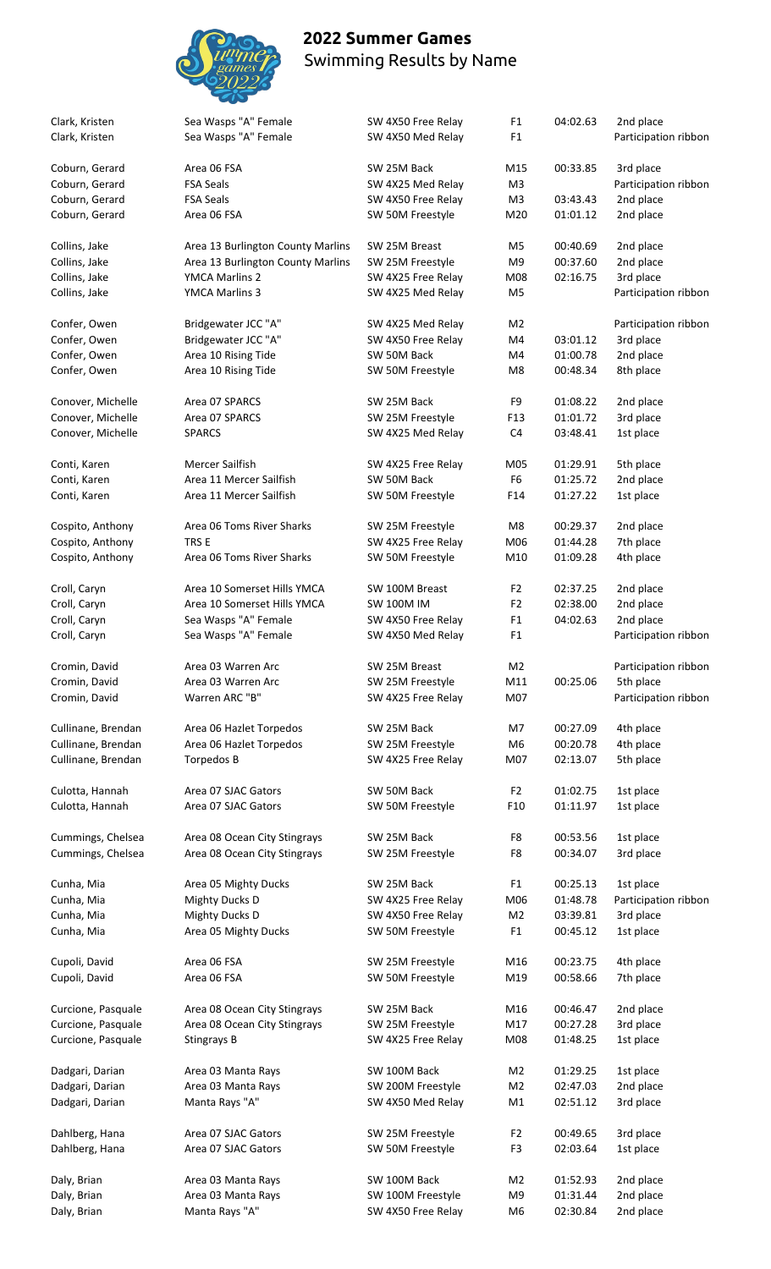

| Clark, Kristen                           | Sea Wasps "A" Female<br>Sea Wasps "A" Female | SW 4X50 Free Relay              | F <sub>1</sub><br>F <sub>1</sub> | 04:02.63             | 2nd place              |
|------------------------------------------|----------------------------------------------|---------------------------------|----------------------------------|----------------------|------------------------|
| Clark, Kristen                           |                                              | SW 4X50 Med Relay               |                                  |                      | Participation ribbon   |
| Coburn, Gerard                           | Area 06 FSA                                  | SW 25M Back                     | M15                              | 00:33.85             | 3rd place              |
| Coburn, Gerard                           | <b>FSA Seals</b>                             | SW 4X25 Med Relay               | M <sub>3</sub>                   |                      | Participation ribbon   |
| Coburn, Gerard                           | <b>FSA Seals</b>                             | SW 4X50 Free Relay              | M <sub>3</sub>                   | 03:43.43             | 2nd place              |
| Coburn, Gerard                           | Area 06 FSA                                  | SW 50M Freestyle                | M20                              | 01:01.12             | 2nd place              |
| Collins, Jake                            | Area 13 Burlington County Marlins            | SW 25M Breast                   | M <sub>5</sub>                   | 00:40.69             | 2nd place              |
| Collins, Jake                            | Area 13 Burlington County Marlins            | SW 25M Freestyle                | M9                               | 00:37.60             | 2nd place              |
| Collins, Jake                            | YMCA Marlins 2                               | SW 4X25 Free Relay              | M08                              | 02:16.75             | 3rd place              |
| Collins, Jake                            | YMCA Marlins 3                               | SW 4X25 Med Relay               | M <sub>5</sub>                   |                      | Participation ribbon   |
| Confer, Owen                             | Bridgewater JCC "A"                          | SW 4X25 Med Relay               | M <sub>2</sub>                   |                      | Participation ribbon   |
| Confer, Owen                             | Bridgewater JCC "A"                          | SW 4X50 Free Relay              | M4                               | 03:01.12             | 3rd place              |
| Confer, Owen                             | Area 10 Rising Tide                          | SW 50M Back                     | M4                               | 01:00.78             | 2nd place              |
| Confer, Owen                             | Area 10 Rising Tide                          | SW 50M Freestyle                | M8                               | 00:48.34             | 8th place              |
| Conover, Michelle                        | Area 07 SPARCS                               | SW 25M Back                     | F9                               | 01:08.22             | 2nd place              |
| Conover, Michelle                        | Area 07 SPARCS                               | SW 25M Freestyle                | F13                              | 01:01.72             | 3rd place              |
| Conover, Michelle                        | <b>SPARCS</b>                                | SW 4X25 Med Relay               | C <sub>4</sub>                   | 03:48.41             | 1st place              |
| Conti, Karen                             | Mercer Sailfish                              | SW 4X25 Free Relay              | M05                              | 01:29.91             | 5th place              |
| Conti, Karen                             | Area 11 Mercer Sailfish                      | SW 50M Back                     | F <sub>6</sub>                   | 01:25.72             | 2nd place              |
| Conti, Karen                             | Area 11 Mercer Sailfish                      | SW 50M Freestyle                | F14                              | 01:27.22             | 1st place              |
|                                          |                                              |                                 |                                  |                      |                        |
| Cospito, Anthony                         | Area 06 Toms River Sharks                    | SW 25M Freestyle                | M8                               | 00:29.37             | 2nd place              |
| Cospito, Anthony                         | TRS E                                        | SW 4X25 Free Relay              | M06                              | 01:44.28             | 7th place              |
| Cospito, Anthony                         | Area 06 Toms River Sharks                    | SW 50M Freestyle                | M10                              | 01:09.28             | 4th place              |
| Croll, Caryn                             | Area 10 Somerset Hills YMCA                  | SW 100M Breast                  | F <sub>2</sub>                   | 02:37.25             | 2nd place              |
| Croll, Caryn                             | Area 10 Somerset Hills YMCA                  | <b>SW 100M IM</b>               | F <sub>2</sub>                   | 02:38.00             | 2nd place              |
| Croll, Caryn                             | Sea Wasps "A" Female                         | SW 4X50 Free Relay              | F <sub>1</sub>                   | 04:02.63             | 2nd place              |
| Croll, Caryn                             | Sea Wasps "A" Female                         | SW 4X50 Med Relay               | F <sub>1</sub>                   |                      | Participation ribbon   |
| Cromin, David                            | Area 03 Warren Arc                           | SW 25M Breast                   | M <sub>2</sub>                   |                      | Participation ribbon   |
| Cromin, David                            | Area 03 Warren Arc                           | SW 25M Freestyle                | M11                              | 00:25.06             | 5th place              |
| Cromin, David                            | Warren ARC "B"                               | SW 4X25 Free Relay              | M07                              |                      | Participation ribbon   |
|                                          |                                              |                                 |                                  |                      |                        |
| Cullinane, Brendan                       | Area 06 Hazlet Torpedos                      | SW 25M Back<br>SW 25M Freestyle | M7                               | 00:27.09             | 4th place              |
| Cullinane, Brendan<br>Cullinane, Brendan | Area 06 Hazlet Torpedos<br>Torpedos B        | SW 4X25 Free Relay              | M <sub>6</sub><br>M07            | 00:20.78<br>02:13.07 | 4th place<br>5th place |
|                                          |                                              |                                 |                                  |                      |                        |
| Culotta, Hannah                          | Area 07 SJAC Gators                          | SW 50M Back                     | F <sub>2</sub>                   | 01:02.75             | 1st place              |
| Culotta, Hannah                          | Area 07 SJAC Gators                          | SW 50M Freestyle                | F10                              | 01:11.97             | 1st place              |
| Cummings, Chelsea                        | Area 08 Ocean City Stingrays                 | SW 25M Back                     | F8                               | 00:53.56             | 1st place              |
| Cummings, Chelsea                        | Area 08 Ocean City Stingrays                 | SW 25M Freestyle                | F8                               | 00:34.07             | 3rd place              |
| Cunha, Mia                               | Area 05 Mighty Ducks                         | SW 25M Back                     | F <sub>1</sub>                   | 00:25.13             | 1st place              |
| Cunha, Mia                               | <b>Mighty Ducks D</b>                        | SW 4X25 Free Relay              | M06                              | 01:48.78             | Participation ribbon   |
| Cunha, Mia                               | <b>Mighty Ducks D</b>                        | SW 4X50 Free Relay              | M <sub>2</sub>                   | 03:39.81             | 3rd place              |
| Cunha, Mia                               | Area 05 Mighty Ducks                         | SW 50M Freestyle                | F <sub>1</sub>                   | 00:45.12             | 1st place              |
|                                          |                                              |                                 |                                  |                      |                        |
| Cupoli, David                            | Area 06 FSA                                  | SW 25M Freestyle                | M16                              | 00:23.75             | 4th place              |
| Cupoli, David                            | Area 06 FSA                                  | SW 50M Freestyle                | M19                              | 00:58.66             | 7th place              |
| Curcione, Pasquale                       | Area 08 Ocean City Stingrays                 | SW 25M Back                     | M16                              | 00:46.47             | 2nd place              |
| Curcione, Pasquale                       | Area 08 Ocean City Stingrays                 | SW 25M Freestyle                | M17                              | 00:27.28             | 3rd place              |
| Curcione, Pasquale                       | Stingrays B                                  | SW 4X25 Free Relay              | M08                              | 01:48.25             | 1st place              |
| Dadgari, Darian                          | Area 03 Manta Rays                           | SW 100M Back                    | M <sub>2</sub>                   | 01:29.25             | 1st place              |
| Dadgari, Darian                          | Area 03 Manta Rays                           | SW 200M Freestyle               | M <sub>2</sub>                   | 02:47.03             | 2nd place              |
| Dadgari, Darian                          | Manta Rays "A"                               | SW 4X50 Med Relay               | M1                               | 02:51.12             | 3rd place              |
| Dahlberg, Hana                           | Area 07 SJAC Gators                          | SW 25M Freestyle                | F <sub>2</sub>                   | 00:49.65             | 3rd place              |
| Dahlberg, Hana                           | Area 07 SJAC Gators                          | SW 50M Freestyle                | F <sub>3</sub>                   | 02:03.64             | 1st place              |
|                                          |                                              |                                 |                                  |                      |                        |
| Daly, Brian                              | Area 03 Manta Rays                           | SW 100M Back                    | M <sub>2</sub>                   | 01:52.93             | 2nd place              |
| Daly, Brian                              | Area 03 Manta Rays                           | SW 100M Freestyle               | M9                               | 01:31.44             | 2nd place              |
| Daly, Brian                              | Manta Rays "A"                               | SW 4X50 Free Relay              | M6                               | 02:30.84             | 2nd place              |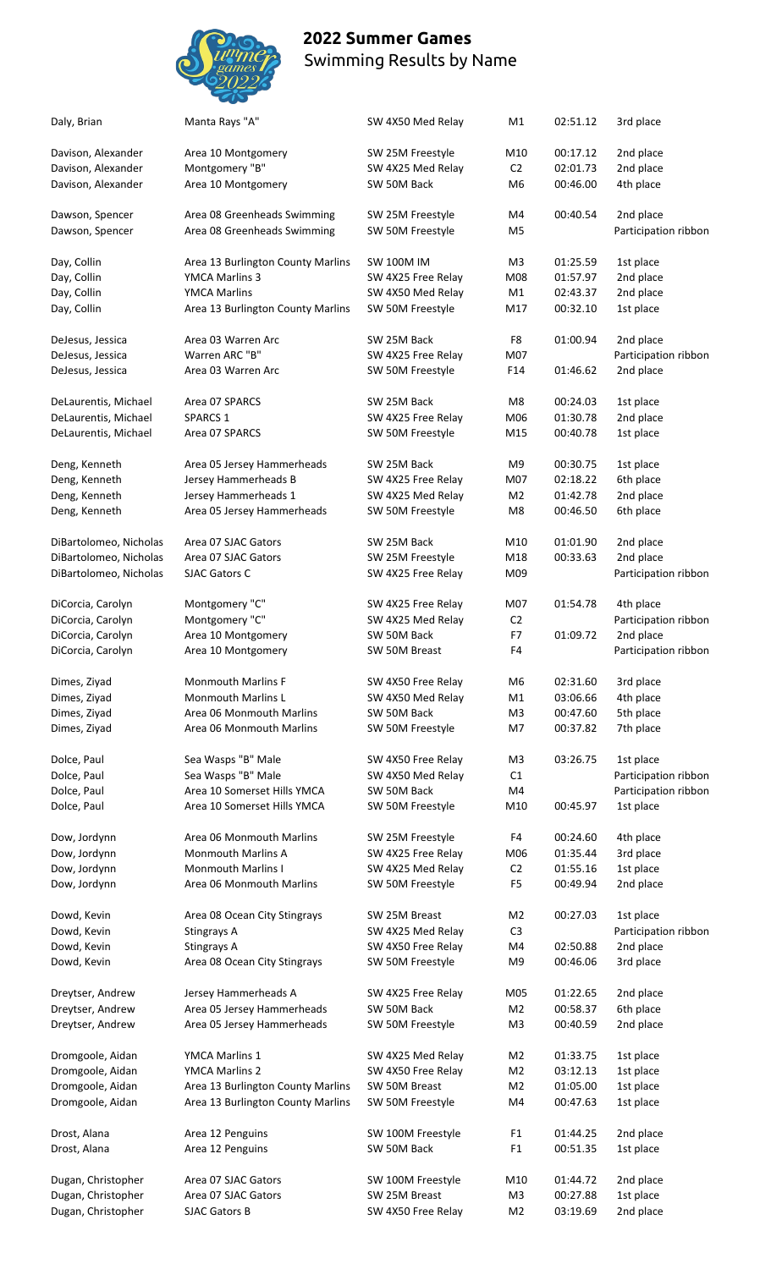

| Daly, Brian            | Manta Rays "A"                    | SW 4X50 Med Relay  | M1             | 02:51.12 | 3rd place            |
|------------------------|-----------------------------------|--------------------|----------------|----------|----------------------|
| Davison, Alexander     | Area 10 Montgomery                | SW 25M Freestyle   | M10            | 00:17.12 | 2nd place            |
| Davison, Alexander     | Montgomery "B"                    | SW 4X25 Med Relay  | C <sub>2</sub> | 02:01.73 | 2nd place            |
| Davison, Alexander     | Area 10 Montgomery                | SW 50M Back        | M <sub>6</sub> | 00:46.00 | 4th place            |
| Dawson, Spencer        | Area 08 Greenheads Swimming       | SW 25M Freestyle   | M4             | 00:40.54 | 2nd place            |
| Dawson, Spencer        | Area 08 Greenheads Swimming       | SW 50M Freestyle   | M <sub>5</sub> |          | Participation ribbon |
| Day, Collin            | Area 13 Burlington County Marlins | <b>SW 100M IM</b>  | M <sub>3</sub> | 01:25.59 | 1st place            |
| Day, Collin            | YMCA Marlins 3                    | SW 4X25 Free Relay | M08            | 01:57.97 | 2nd place            |
| Day, Collin            | <b>YMCA Marlins</b>               | SW 4X50 Med Relay  | M1             | 02:43.37 | 2nd place            |
| Day, Collin            | Area 13 Burlington County Marlins | SW 50M Freestyle   | M17            | 00:32.10 | 1st place            |
| DeJesus, Jessica       | Area 03 Warren Arc                | SW 25M Back        | F8             | 01:00.94 | 2nd place            |
| DeJesus, Jessica       | Warren ARC "B"                    | SW 4X25 Free Relay | M07            |          | Participation ribbon |
| DeJesus, Jessica       | Area 03 Warren Arc                | SW 50M Freestyle   | F14            | 01:46.62 | 2nd place            |
| DeLaurentis, Michael   | Area 07 SPARCS                    | SW 25M Back        | M <sub>8</sub> | 00:24.03 | 1st place            |
| DeLaurentis, Michael   | SPARCS 1                          | SW 4X25 Free Relay | M06            | 01:30.78 | 2nd place            |
| DeLaurentis, Michael   | Area 07 SPARCS                    | SW 50M Freestyle   | M15            | 00:40.78 | 1st place            |
| Deng, Kenneth          | Area 05 Jersey Hammerheads        | SW 25M Back        | M <sub>9</sub> | 00:30.75 | 1st place            |
| Deng, Kenneth          | Jersey Hammerheads B              | SW 4X25 Free Relay | M07            | 02:18.22 | 6th place            |
| Deng, Kenneth          | Jersey Hammerheads 1              | SW 4X25 Med Relay  | M <sub>2</sub> | 01:42.78 | 2nd place            |
| Deng, Kenneth          | Area 05 Jersey Hammerheads        | SW 50M Freestyle   | M8             | 00:46.50 | 6th place            |
| DiBartolomeo, Nicholas | Area 07 SJAC Gators               | SW 25M Back        | M10            | 01:01.90 | 2nd place            |
| DiBartolomeo, Nicholas | Area 07 SJAC Gators               | SW 25M Freestyle   | M18            | 00:33.63 | 2nd place            |
| DiBartolomeo, Nicholas | SJAC Gators C                     | SW 4X25 Free Relay | M09            |          | Participation ribbon |
| DiCorcia, Carolyn      | Montgomery "C"                    | SW 4X25 Free Relay | M07            | 01:54.78 | 4th place            |
| DiCorcia, Carolyn      | Montgomery "C"                    | SW 4X25 Med Relay  | C <sub>2</sub> |          | Participation ribbon |
| DiCorcia, Carolyn      | Area 10 Montgomery                | SW 50M Back        | F7             | 01:09.72 | 2nd place            |
| DiCorcia, Carolyn      | Area 10 Montgomery                | SW 50M Breast      | F4             |          | Participation ribbon |
| Dimes, Ziyad           | <b>Monmouth Marlins F</b>         | SW 4X50 Free Relay | M <sub>6</sub> | 02:31.60 | 3rd place            |
| Dimes, Ziyad           | <b>Monmouth Marlins L</b>         | SW 4X50 Med Relay  | M1             | 03:06.66 | 4th place            |
| Dimes, Ziyad           | Area 06 Monmouth Marlins          | SW 50M Back        | M <sub>3</sub> | 00:47.60 | 5th place            |
| Dimes, Ziyad           | Area 06 Monmouth Marlins          | SW 50M Freestyle   | M7             | 00:37.82 | 7th place            |
| Dolce, Paul            | Sea Wasps "B" Male                | SW 4X50 Free Relay | M <sub>3</sub> | 03:26.75 | 1st place            |
| Dolce, Paul            | Sea Wasps "B" Male                | SW 4X50 Med Relay  | C1             |          | Participation ribbon |
| Dolce, Paul            | Area 10 Somerset Hills YMCA       | SW 50M Back        | M4             |          | Participation ribbon |
| Dolce, Paul            | Area 10 Somerset Hills YMCA       | SW 50M Freestyle   | M10            | 00:45.97 | 1st place            |
| Dow, Jordynn           | Area 06 Monmouth Marlins          | SW 25M Freestyle   | F4             | 00:24.60 | 4th place            |
| Dow, Jordynn           | <b>Monmouth Marlins A</b>         | SW 4X25 Free Relay | M06            | 01:35.44 | 3rd place            |
| Dow, Jordynn           | <b>Monmouth Marlins I</b>         | SW 4X25 Med Relay  | C <sub>2</sub> | 01:55.16 | 1st place            |
| Dow, Jordynn           | Area 06 Monmouth Marlins          | SW 50M Freestyle   | F <sub>5</sub> | 00:49.94 | 2nd place            |
| Dowd, Kevin            | Area 08 Ocean City Stingrays      | SW 25M Breast      | M <sub>2</sub> | 00:27.03 | 1st place            |
| Dowd, Kevin            | Stingrays A                       | SW 4X25 Med Relay  | C <sub>3</sub> |          | Participation ribbon |
| Dowd, Kevin            | Stingrays A                       | SW 4X50 Free Relay | M4             | 02:50.88 | 2nd place            |
| Dowd, Kevin            | Area 08 Ocean City Stingrays      | SW 50M Freestyle   | M <sub>9</sub> | 00:46.06 | 3rd place            |
| Dreytser, Andrew       | Jersey Hammerheads A              | SW 4X25 Free Relay | M05            | 01:22.65 | 2nd place            |
| Dreytser, Andrew       | Area 05 Jersey Hammerheads        | SW 50M Back        | M <sub>2</sub> | 00:58.37 | 6th place            |
| Dreytser, Andrew       | Area 05 Jersey Hammerheads        | SW 50M Freestyle   | M <sub>3</sub> | 00:40.59 | 2nd place            |
| Dromgoole, Aidan       | <b>YMCA Marlins 1</b>             | SW 4X25 Med Relay  | M <sub>2</sub> | 01:33.75 | 1st place            |
| Dromgoole, Aidan       | <b>YMCA Marlins 2</b>             | SW 4X50 Free Relay | M <sub>2</sub> | 03:12.13 | 1st place            |
| Dromgoole, Aidan       | Area 13 Burlington County Marlins | SW 50M Breast      | M <sub>2</sub> | 01:05.00 | 1st place            |
| Dromgoole, Aidan       | Area 13 Burlington County Marlins | SW 50M Freestyle   | M4             | 00:47.63 | 1st place            |
| Drost, Alana           | Area 12 Penguins                  | SW 100M Freestyle  | F <sub>1</sub> | 01:44.25 | 2nd place            |
| Drost, Alana           | Area 12 Penguins                  | SW 50M Back        | F <sub>1</sub> | 00:51.35 | 1st place            |
| Dugan, Christopher     | Area 07 SJAC Gators               | SW 100M Freestyle  | M10            | 01:44.72 | 2nd place            |
| Dugan, Christopher     | Area 07 SJAC Gators               | SW 25M Breast      | M <sub>3</sub> | 00:27.88 | 1st place            |
| Dugan, Christopher     | SJAC Gators B                     | SW 4X50 Free Relay | M <sub>2</sub> | 03:19.69 | 2nd place            |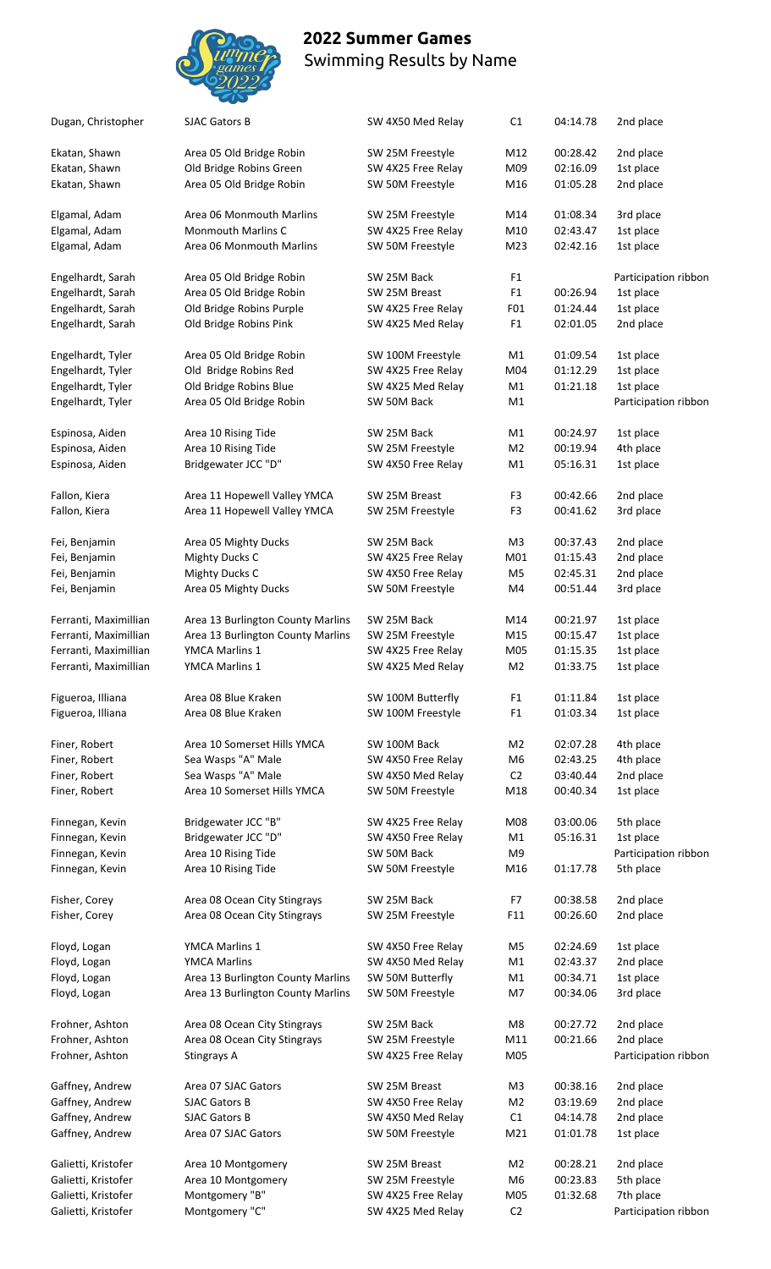

| Dugan, Christopher    | <b>SJAC Gators B</b>              | SW 4X50 Med Relay  | C1              | 04:14.78 | 2nd place            |
|-----------------------|-----------------------------------|--------------------|-----------------|----------|----------------------|
| Ekatan, Shawn         | Area 05 Old Bridge Robin          | SW 25M Freestyle   | M12             | 00:28.42 | 2nd place            |
| Ekatan, Shawn         | Old Bridge Robins Green           | SW 4X25 Free Relay | M09             | 02:16.09 | 1st place            |
| Ekatan, Shawn         | Area 05 Old Bridge Robin          | SW 50M Freestyle   | M16             | 01:05.28 | 2nd place            |
| Elgamal, Adam         | Area 06 Monmouth Marlins          | SW 25M Freestyle   | M14             | 01:08.34 | 3rd place            |
| Elgamal, Adam         | Monmouth Marlins C                | SW 4X25 Free Relay | M10             | 02:43.47 | 1st place            |
| Elgamal, Adam         | Area 06 Monmouth Marlins          | SW 50M Freestyle   | M23             | 02:42.16 | 1st place            |
| Engelhardt, Sarah     | Area 05 Old Bridge Robin          | SW 25M Back        | F <sub>1</sub>  |          | Participation ribbon |
| Engelhardt, Sarah     | Area 05 Old Bridge Robin          | SW 25M Breast      | F <sub>1</sub>  | 00:26.94 | 1st place            |
| Engelhardt, Sarah     | Old Bridge Robins Purple          | SW 4X25 Free Relay | F01             | 01:24.44 | 1st place            |
| Engelhardt, Sarah     | Old Bridge Robins Pink            | SW 4X25 Med Relay  | F <sub>1</sub>  | 02:01.05 | 2nd place            |
| Engelhardt, Tyler     | Area 05 Old Bridge Robin          | SW 100M Freestyle  | M1              | 01:09.54 | 1st place            |
| Engelhardt, Tyler     | Old Bridge Robins Red             | SW 4X25 Free Relay | M04             | 01:12.29 | 1st place            |
| Engelhardt, Tyler     | Old Bridge Robins Blue            | SW 4X25 Med Relay  | M1              | 01:21.18 | 1st place            |
| Engelhardt, Tyler     | Area 05 Old Bridge Robin          | SW 50M Back        | M1              |          | Participation ribbon |
| Espinosa, Aiden       | Area 10 Rising Tide               | SW 25M Back        | M1              | 00:24.97 | 1st place            |
| Espinosa, Aiden       | Area 10 Rising Tide               | SW 25M Freestyle   | M <sub>2</sub>  | 00:19.94 | 4th place            |
| Espinosa, Aiden       | Bridgewater JCC "D"               | SW 4X50 Free Relay | M1              | 05:16.31 | 1st place            |
| Fallon, Kiera         | Area 11 Hopewell Valley YMCA      | SW 25M Breast      | F3              | 00:42.66 | 2nd place            |
| Fallon, Kiera         | Area 11 Hopewell Valley YMCA      | SW 25M Freestyle   | F <sub>3</sub>  | 00:41.62 | 3rd place            |
| Fei, Benjamin         | Area 05 Mighty Ducks              | SW 25M Back        | M <sub>3</sub>  | 00:37.43 | 2nd place            |
| Fei, Benjamin         | <b>Mighty Ducks C</b>             | SW 4X25 Free Relay | M01             | 01:15.43 | 2nd place            |
| Fei, Benjamin         | <b>Mighty Ducks C</b>             | SW 4X50 Free Relay | M5              | 02:45.31 | 2nd place            |
| Fei, Benjamin         | Area 05 Mighty Ducks              | SW 50M Freestyle   | M4              | 00:51.44 | 3rd place            |
| Ferranti, Maximillian | Area 13 Burlington County Marlins | SW 25M Back        | M14             | 00:21.97 | 1st place            |
| Ferranti, Maximillian | Area 13 Burlington County Marlins | SW 25M Freestyle   | M15             | 00:15.47 | 1st place            |
| Ferranti, Maximillian | YMCA Marlins 1                    | SW 4X25 Free Relay | M05             | 01:15.35 | 1st place            |
| Ferranti, Maximillian | YMCA Marlins 1                    | SW 4X25 Med Relay  | M <sub>2</sub>  | 01:33.75 | 1st place            |
| Figueroa, Illiana     | Area 08 Blue Kraken               | SW 100M Butterfly  | F <sub>1</sub>  | 01:11.84 | 1st place            |
| Figueroa, Illiana     | Area 08 Blue Kraken               | SW 100M Freestyle  | F <sub>1</sub>  | 01:03.34 | 1st place            |
| Finer, Robert         | Area 10 Somerset Hills YMCA       | SW 100M Back       | M <sub>2</sub>  | 02:07.28 | 4th place            |
| Finer, Robert         | Sea Wasps "A" Male                | SW 4X50 Free Relay | M <sub>6</sub>  | 02:43.25 | 4th place            |
| Finer, Robert         | Sea Wasps "A" Male                | SW 4X50 Med Relay  | C <sub>2</sub>  | 03:40.44 | 2nd place            |
| Finer, Robert         | Area 10 Somerset Hills YMCA       | SW 50M Freestyle   | M18             | 00:40.34 | 1st place            |
| Finnegan, Kevin       | Bridgewater JCC "B"               | SW 4X25 Free Relay | M08             | 03:00.06 | 5th place            |
| Finnegan, Kevin       | Bridgewater JCC "D"               | SW 4X50 Free Relay | M1              | 05:16.31 | 1st place            |
| Finnegan, Kevin       | Area 10 Rising Tide               | SW 50M Back        | M9              |          | Participation ribbon |
| Finnegan, Kevin       | Area 10 Rising Tide               | SW 50M Freestyle   | M16             | 01:17.78 | 5th place            |
| Fisher, Corey         | Area 08 Ocean City Stingrays      | SW 25M Back        | F7              | 00:38.58 | 2nd place            |
| Fisher, Corey         | Area 08 Ocean City Stingrays      | SW 25M Freestyle   | F11             | 00:26.60 | 2nd place            |
| Floyd, Logan          | YMCA Marlins 1                    | SW 4X50 Free Relay | M5              | 02:24.69 | 1st place            |
| Floyd, Logan          | <b>YMCA Marlins</b>               | SW 4X50 Med Relay  | M1              | 02:43.37 | 2nd place            |
| Floyd, Logan          | Area 13 Burlington County Marlins | SW 50M Butterfly   | M1              | 00:34.71 | 1st place            |
| Floyd, Logan          | Area 13 Burlington County Marlins | SW 50M Freestyle   | M7              | 00:34.06 | 3rd place            |
| Frohner, Ashton       | Area 08 Ocean City Stingrays      | SW 25M Back        | M <sub>8</sub>  | 00:27.72 | 2nd place            |
| Frohner, Ashton       | Area 08 Ocean City Stingrays      | SW 25M Freestyle   | M11             | 00:21.66 | 2nd place            |
| Frohner, Ashton       | Stingrays A                       | SW 4X25 Free Relay | M05             |          | Participation ribbon |
|                       |                                   |                    |                 |          |                      |
| Gaffney, Andrew       | Area 07 SJAC Gators               | SW 25M Breast      | M3              | 00:38.16 | 2nd place            |
| Gaffney, Andrew       | <b>SJAC Gators B</b>              | SW 4X50 Free Relay | M <sub>2</sub>  | 03:19.69 | 2nd place            |
| Gaffney, Andrew       | <b>SJAC Gators B</b>              | SW 4X50 Med Relay  | C1              | 04:14.78 | 2nd place            |
| Gaffney, Andrew       | Area 07 SJAC Gators               | SW 50M Freestyle   | M <sub>21</sub> | 01:01.78 | 1st place            |
| Galietti, Kristofer   | Area 10 Montgomery                | SW 25M Breast      | M2              | 00:28.21 | 2nd place            |
| Galietti, Kristofer   | Area 10 Montgomery                | SW 25M Freestyle   | M6              | 00:23.83 | 5th place            |
| Galietti, Kristofer   | Montgomery "B"                    | SW 4X25 Free Relay | M05             | 01:32.68 | 7th place            |
| Galietti, Kristofer   | Montgomery "C"                    | SW 4X25 Med Relay  | C <sub>2</sub>  |          | Participation ribbon |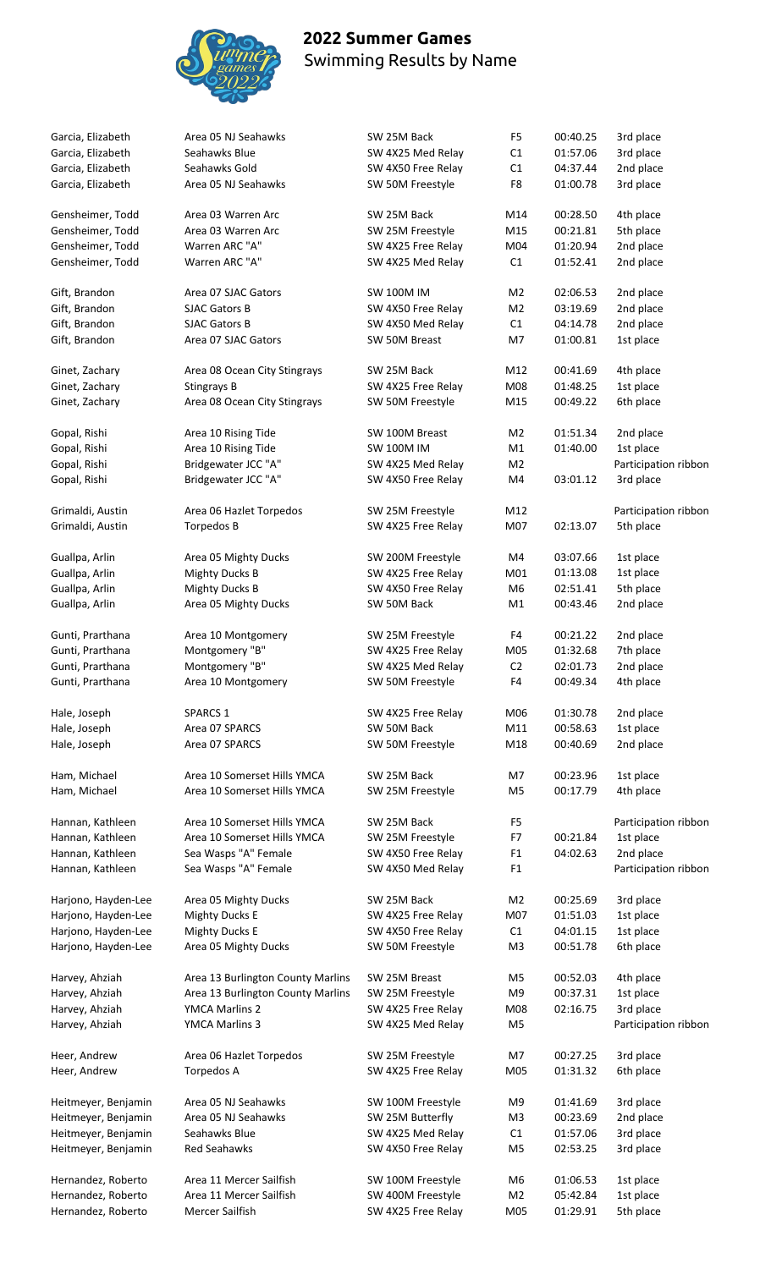

| Garcia, Elizabeth   | Area 05 NJ Seahawks               | SW 25M Back        | F <sub>5</sub> | 00:40.25 | 3rd place            |
|---------------------|-----------------------------------|--------------------|----------------|----------|----------------------|
| Garcia, Elizabeth   | Seahawks Blue                     | SW 4X25 Med Relay  | C1             | 01:57.06 | 3rd place            |
| Garcia, Elizabeth   | Seahawks Gold                     | SW 4X50 Free Relay | C1             | 04:37.44 | 2nd place            |
| Garcia, Elizabeth   | Area 05 NJ Seahawks               | SW 50M Freestyle   | F8             | 01:00.78 | 3rd place            |
| Gensheimer, Todd    | Area 03 Warren Arc                | SW 25M Back        | M14            | 00:28.50 | 4th place            |
| Gensheimer, Todd    | Area 03 Warren Arc                | SW 25M Freestyle   | M15            | 00:21.81 | 5th place            |
| Gensheimer, Todd    | Warren ARC "A"                    | SW 4X25 Free Relay | M04            | 01:20.94 | 2nd place            |
| Gensheimer, Todd    | Warren ARC "A"                    | SW 4X25 Med Relay  | C1             | 01:52.41 | 2nd place            |
|                     |                                   |                    |                |          |                      |
| Gift, Brandon       | Area 07 SJAC Gators               | <b>SW 100M IM</b>  | M <sub>2</sub> | 02:06.53 | 2nd place            |
| Gift, Brandon       | <b>SJAC Gators B</b>              | SW 4X50 Free Relay | M <sub>2</sub> | 03:19.69 | 2nd place            |
| Gift, Brandon       | <b>SJAC Gators B</b>              | SW 4X50 Med Relay  | C1             | 04:14.78 | 2nd place            |
| Gift, Brandon       | Area 07 SJAC Gators               | SW 50M Breast      | M7             | 01:00.81 | 1st place            |
| Ginet, Zachary      | Area 08 Ocean City Stingrays      | SW 25M Back        | M12            | 00:41.69 | 4th place            |
| Ginet, Zachary      | <b>Stingrays B</b>                | SW 4X25 Free Relay | M08            | 01:48.25 | 1st place            |
| Ginet, Zachary      | Area 08 Ocean City Stingrays      | SW 50M Freestyle   | M15            | 00:49.22 | 6th place            |
| Gopal, Rishi        | Area 10 Rising Tide               | SW 100M Breast     | M <sub>2</sub> | 01:51.34 | 2nd place            |
| Gopal, Rishi        | Area 10 Rising Tide               | <b>SW 100M IM</b>  | M1             | 01:40.00 | 1st place            |
| Gopal, Rishi        | Bridgewater JCC "A"               | SW 4X25 Med Relay  | M <sub>2</sub> |          | Participation ribbon |
| Gopal, Rishi        | Bridgewater JCC "A"               | SW 4X50 Free Relay | M4             | 03:01.12 | 3rd place            |
|                     |                                   |                    |                |          |                      |
| Grimaldi, Austin    | Area 06 Hazlet Torpedos           | SW 25M Freestyle   | M12            |          | Participation ribbon |
| Grimaldi, Austin    | Torpedos B                        | SW 4X25 Free Relay | M07            | 02:13.07 | 5th place            |
| Guallpa, Arlin      | Area 05 Mighty Ducks              | SW 200M Freestyle  | M4             | 03:07.66 | 1st place            |
| Guallpa, Arlin      | <b>Mighty Ducks B</b>             | SW 4X25 Free Relay | M01            | 01:13.08 | 1st place            |
| Guallpa, Arlin      | <b>Mighty Ducks B</b>             | SW 4X50 Free Relay | M6             | 02:51.41 | 5th place            |
| Guallpa, Arlin      | Area 05 Mighty Ducks              | SW 50M Back        | M1             | 00:43.46 | 2nd place            |
|                     |                                   |                    |                |          |                      |
| Gunti, Prarthana    | Area 10 Montgomery                | SW 25M Freestyle   | F4             | 00:21.22 | 2nd place            |
| Gunti, Prarthana    | Montgomery "B"                    | SW 4X25 Free Relay | M05            | 01:32.68 | 7th place            |
| Gunti, Prarthana    | Montgomery "B"                    | SW 4X25 Med Relay  | C <sub>2</sub> | 02:01.73 | 2nd place            |
| Gunti, Prarthana    | Area 10 Montgomery                | SW 50M Freestyle   | F4             | 00:49.34 | 4th place            |
| Hale, Joseph        | <b>SPARCS 1</b>                   | SW 4X25 Free Relay | M06            | 01:30.78 | 2nd place            |
| Hale, Joseph        | Area 07 SPARCS                    | SW 50M Back        | M11            | 00:58.63 | 1st place            |
| Hale, Joseph        | Area 07 SPARCS                    | SW 50M Freestyle   | M18            | 00:40.69 | 2nd place            |
| Ham, Michael        | Area 10 Somerset Hills YMCA       | SW 25M Back        | M7             | 00:23.96 | 1st place            |
| Ham, Michael        | Area 10 Somerset Hills YMCA       | SW 25M Freestyle   | M <sub>5</sub> | 00:17.79 | 4th place            |
|                     |                                   |                    |                |          |                      |
| Hannan, Kathleen    | Area 10 Somerset Hills YMCA       | SW 25M Back        | F <sub>5</sub> |          | Participation ribbon |
| Hannan, Kathleen    | Area 10 Somerset Hills YMCA       | SW 25M Freestyle   | F7             | 00:21.84 | 1st place            |
| Hannan, Kathleen    | Sea Wasps "A" Female              | SW 4X50 Free Relay | F <sub>1</sub> | 04:02.63 | 2nd place            |
| Hannan, Kathleen    | Sea Wasps "A" Female              | SW 4X50 Med Relay  | F <sub>1</sub> |          | Participation ribbon |
| Harjono, Hayden-Lee | Area 05 Mighty Ducks              | SW 25M Back        | M <sub>2</sub> | 00:25.69 | 3rd place            |
| Harjono, Hayden-Lee | <b>Mighty Ducks E</b>             | SW 4X25 Free Relay | M07            | 01:51.03 | 1st place            |
| Harjono, Hayden-Lee | <b>Mighty Ducks E</b>             | SW 4X50 Free Relay | C1             | 04:01.15 | 1st place            |
| Harjono, Hayden-Lee | Area 05 Mighty Ducks              | SW 50M Freestyle   | M3             | 00:51.78 | 6th place            |
| Harvey, Ahziah      | Area 13 Burlington County Marlins | SW 25M Breast      | M5             | 00:52.03 | 4th place            |
| Harvey, Ahziah      | Area 13 Burlington County Marlins | SW 25M Freestyle   | M <sub>9</sub> | 00:37.31 | 1st place            |
| Harvey, Ahziah      | <b>YMCA Marlins 2</b>             | SW 4X25 Free Relay | M08            | 02:16.75 | 3rd place            |
|                     |                                   |                    | M <sub>5</sub> |          |                      |
| Harvey, Ahziah      | YMCA Marlins 3                    | SW 4X25 Med Relay  |                |          | Participation ribbon |
| Heer, Andrew        | Area 06 Hazlet Torpedos           | SW 25M Freestyle   | M7             | 00:27.25 | 3rd place            |
| Heer, Andrew        | Torpedos A                        | SW 4X25 Free Relay | M05            | 01:31.32 | 6th place            |
| Heitmeyer, Benjamin | Area 05 NJ Seahawks               | SW 100M Freestyle  | M <sub>9</sub> | 01:41.69 | 3rd place            |
| Heitmeyer, Benjamin | Area 05 NJ Seahawks               | SW 25M Butterfly   | M <sub>3</sub> | 00:23.69 | 2nd place            |
| Heitmeyer, Benjamin | Seahawks Blue                     | SW 4X25 Med Relay  | C1             | 01:57.06 | 3rd place            |
| Heitmeyer, Benjamin | Red Seahawks                      | SW 4X50 Free Relay | M <sub>5</sub> | 02:53.25 | 3rd place            |
|                     |                                   |                    |                |          |                      |
| Hernandez, Roberto  | Area 11 Mercer Sailfish           | SW 100M Freestyle  | M6             | 01:06.53 | 1st place            |
| Hernandez, Roberto  | Area 11 Mercer Sailfish           | SW 400M Freestyle  | M <sub>2</sub> | 05:42.84 | 1st place            |
| Hernandez, Roberto  | Mercer Sailfish                   | SW 4X25 Free Relay | M05            | 01:29.91 | 5th place            |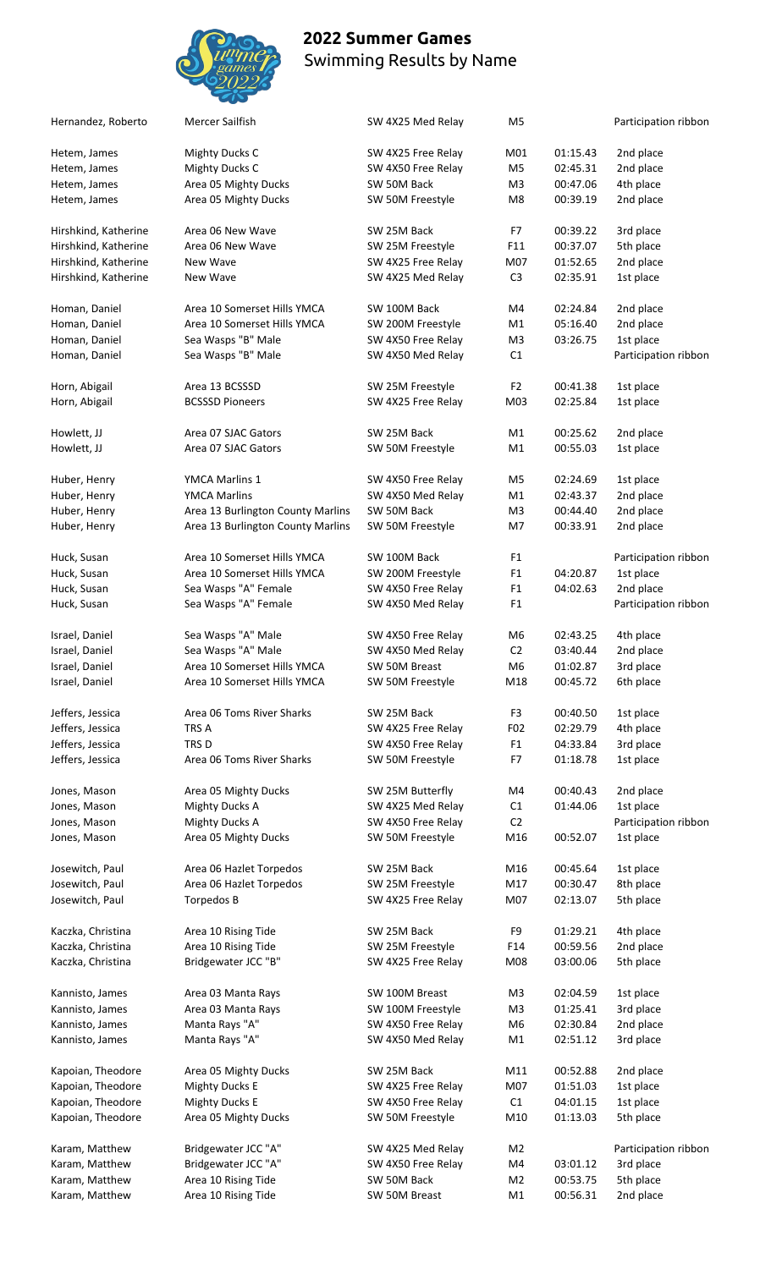

| Hernandez, Roberto   | Mercer Sailfish                   | SW 4X25 Med Relay  | M <sub>5</sub>  |          | Participation ribbon |
|----------------------|-----------------------------------|--------------------|-----------------|----------|----------------------|
| Hetem, James         | <b>Mighty Ducks C</b>             | SW 4X25 Free Relay | M01             | 01:15.43 | 2nd place            |
| Hetem, James         | <b>Mighty Ducks C</b>             | SW 4X50 Free Relay | M <sub>5</sub>  | 02:45.31 | 2nd place            |
| Hetem, James         | Area 05 Mighty Ducks              | SW 50M Back        | M <sub>3</sub>  | 00:47.06 | 4th place            |
| Hetem, James         | Area 05 Mighty Ducks              | SW 50M Freestyle   | M <sub>8</sub>  | 00:39.19 | 2nd place            |
| Hirshkind, Katherine | Area 06 New Wave                  | SW 25M Back        | F7              | 00:39.22 | 3rd place            |
| Hirshkind, Katherine | Area 06 New Wave                  | SW 25M Freestyle   | F11             | 00:37.07 | 5th place            |
|                      |                                   |                    |                 |          |                      |
| Hirshkind, Katherine | New Wave                          | SW 4X25 Free Relay | M07             | 01:52.65 | 2nd place            |
| Hirshkind, Katherine | New Wave                          | SW 4X25 Med Relay  | C <sub>3</sub>  | 02:35.91 | 1st place            |
| Homan, Daniel        | Area 10 Somerset Hills YMCA       | SW 100M Back       | M4              | 02:24.84 | 2nd place            |
| Homan, Daniel        | Area 10 Somerset Hills YMCA       | SW 200M Freestyle  | M1              | 05:16.40 | 2nd place            |
| Homan, Daniel        | Sea Wasps "B" Male                | SW 4X50 Free Relay | M <sub>3</sub>  | 03:26.75 | 1st place            |
| Homan, Daniel        | Sea Wasps "B" Male                | SW 4X50 Med Relay  | C1              |          | Participation ribbon |
| Horn, Abigail        | Area 13 BCSSSD                    | SW 25M Freestyle   | F <sub>2</sub>  | 00:41.38 | 1st place            |
| Horn, Abigail        | <b>BCSSSD Pioneers</b>            | SW 4X25 Free Relay | M03             | 02:25.84 | 1st place            |
|                      |                                   | SW 25M Back        |                 |          |                      |
| Howlett, JJ          | Area 07 SJAC Gators               |                    | M1              | 00:25.62 | 2nd place            |
| Howlett, JJ          | Area 07 SJAC Gators               | SW 50M Freestyle   | M1              | 00:55.03 | 1st place            |
| Huber, Henry         | YMCA Marlins 1                    | SW 4X50 Free Relay | M <sub>5</sub>  | 02:24.69 | 1st place            |
| Huber, Henry         | <b>YMCA Marlins</b>               | SW 4X50 Med Relay  | M1              | 02:43.37 | 2nd place            |
| Huber, Henry         | Area 13 Burlington County Marlins | SW 50M Back        | M <sub>3</sub>  | 00:44.40 | 2nd place            |
| Huber, Henry         | Area 13 Burlington County Marlins | SW 50M Freestyle   | M7              | 00:33.91 | 2nd place            |
| Huck, Susan          | Area 10 Somerset Hills YMCA       | SW 100M Back       | F <sub>1</sub>  |          | Participation ribbon |
| Huck, Susan          | Area 10 Somerset Hills YMCA       | SW 200M Freestyle  | F <sub>1</sub>  | 04:20.87 | 1st place            |
| Huck, Susan          | Sea Wasps "A" Female              | SW 4X50 Free Relay | F <sub>1</sub>  | 04:02.63 | 2nd place            |
| Huck, Susan          | Sea Wasps "A" Female              | SW 4X50 Med Relay  | F <sub>1</sub>  |          | Participation ribbon |
|                      |                                   |                    |                 |          |                      |
| Israel, Daniel       | Sea Wasps "A" Male                | SW 4X50 Free Relay | M6              | 02:43.25 | 4th place            |
| Israel, Daniel       | Sea Wasps "A" Male                | SW 4X50 Med Relay  | C <sub>2</sub>  | 03:40.44 | 2nd place            |
| Israel, Daniel       | Area 10 Somerset Hills YMCA       | SW 50M Breast      | M <sub>6</sub>  | 01:02.87 | 3rd place            |
| Israel, Daniel       | Area 10 Somerset Hills YMCA       | SW 50M Freestyle   | M18             | 00:45.72 | 6th place            |
| Jeffers, Jessica     | Area 06 Toms River Sharks         | SW 25M Back        | F <sub>3</sub>  | 00:40.50 | 1st place            |
| Jeffers, Jessica     | TRS A                             | SW 4X25 Free Relay | F <sub>02</sub> | 02:29.79 | 4th place            |
| Jeffers, Jessica     | TRS D                             | SW 4X50 Free Relay | F <sub>1</sub>  | 04:33.84 | 3rd place            |
| Jeffers, Jessica     | Area 06 Toms River Sharks         | SW 50M Freestyle   | F7              | 01:18.78 | 1st place            |
| Jones, Mason         | Area 05 Mighty Ducks              | SW 25M Butterfly   | M4              | 00:40.43 | 2nd place            |
| Jones, Mason         | <b>Mighty Ducks A</b>             | SW 4X25 Med Relay  | C1              | 01:44.06 | 1st place            |
| Jones, Mason         | <b>Mighty Ducks A</b>             | SW 4X50 Free Relay | C <sub>2</sub>  |          | Participation ribbon |
| Jones, Mason         | Area 05 Mighty Ducks              |                    | M16             | 00:52.07 | 1st place            |
|                      |                                   | SW 50M Freestyle   |                 |          |                      |
| Josewitch, Paul      | Area 06 Hazlet Torpedos           | SW 25M Back        | M16             | 00:45.64 | 1st place            |
| Josewitch, Paul      | Area 06 Hazlet Torpedos           | SW 25M Freestyle   | M17             | 00:30.47 | 8th place            |
| Josewitch, Paul      | Torpedos B                        | SW 4X25 Free Relay | M07             | 02:13.07 | 5th place            |
| Kaczka, Christina    | Area 10 Rising Tide               | SW 25M Back        | F <sub>9</sub>  | 01:29.21 | 4th place            |
| Kaczka, Christina    | Area 10 Rising Tide               | SW 25M Freestyle   | F14             | 00:59.56 | 2nd place            |
| Kaczka, Christina    | Bridgewater JCC "B"               | SW 4X25 Free Relay | M08             | 03:00.06 | 5th place            |
| Kannisto, James      | Area 03 Manta Rays                | SW 100M Breast     | M <sub>3</sub>  | 02:04.59 | 1st place            |
| Kannisto, James      | Area 03 Manta Rays                | SW 100M Freestyle  | M <sub>3</sub>  | 01:25.41 | 3rd place            |
| Kannisto, James      | Manta Rays "A"                    | SW 4X50 Free Relay | M <sub>6</sub>  | 02:30.84 | 2nd place            |
| Kannisto, James      | Manta Rays "A"                    | SW 4X50 Med Relay  | M1              | 02:51.12 | 3rd place            |
|                      |                                   |                    |                 |          |                      |
| Kapoian, Theodore    | Area 05 Mighty Ducks              | SW 25M Back        | M11             | 00:52.88 | 2nd place            |
| Kapoian, Theodore    | <b>Mighty Ducks E</b>             | SW 4X25 Free Relay | M07             | 01:51.03 | 1st place            |
| Kapoian, Theodore    | <b>Mighty Ducks E</b>             | SW 4X50 Free Relay | C1              | 04:01.15 | 1st place            |
| Kapoian, Theodore    | Area 05 Mighty Ducks              | SW 50M Freestyle   | M10             | 01:13.03 | 5th place            |
| Karam, Matthew       | Bridgewater JCC "A"               | SW 4X25 Med Relay  | M <sub>2</sub>  |          | Participation ribbon |
| Karam, Matthew       | Bridgewater JCC "A"               | SW 4X50 Free Relay | M4              | 03:01.12 | 3rd place            |
| Karam, Matthew       | Area 10 Rising Tide               | SW 50M Back        | M2              | 00:53.75 | 5th place            |
| Karam, Matthew       | Area 10 Rising Tide               | SW 50M Breast      | M1              | 00:56.31 | 2nd place            |
|                      |                                   |                    |                 |          |                      |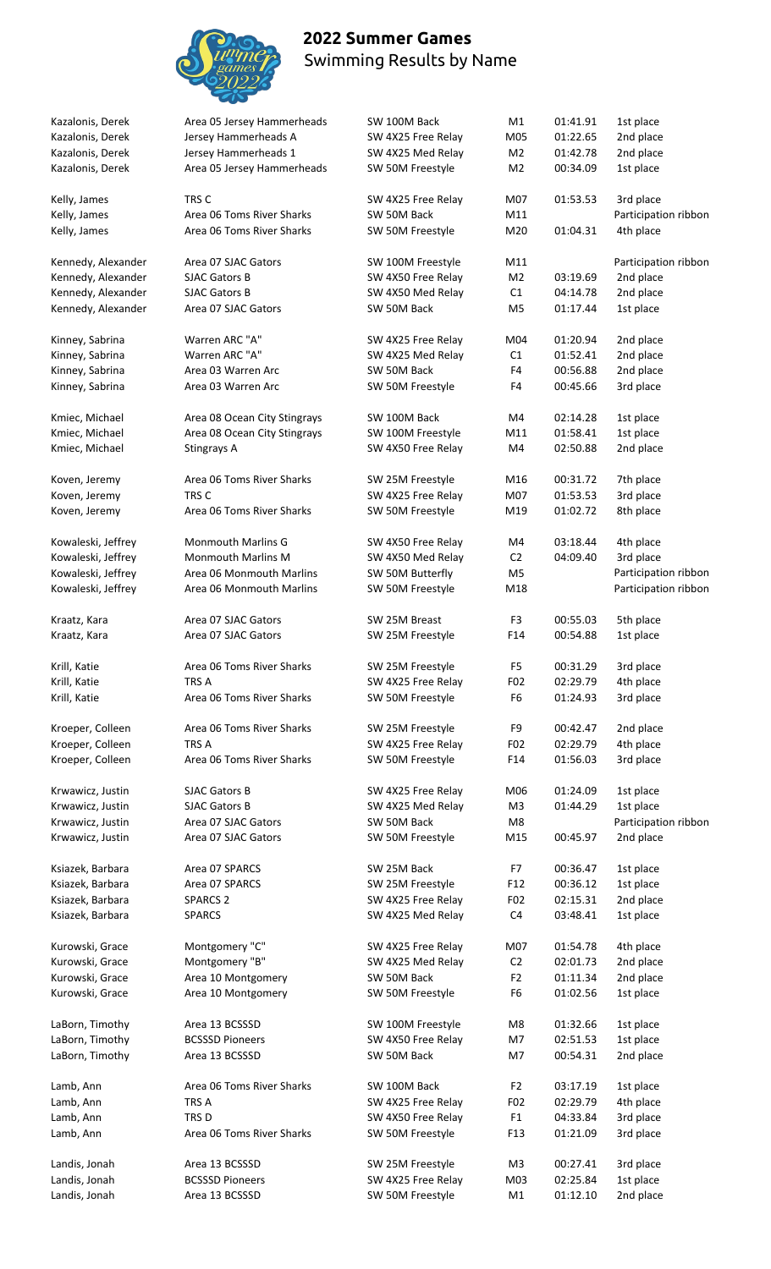

| Kazalonis, Derek       | Area 05 Jersey Hammerheads   | SW 100M Back                           | M1                    | 01:41.91             | 1st place              |
|------------------------|------------------------------|----------------------------------------|-----------------------|----------------------|------------------------|
| Kazalonis, Derek       | Jersey Hammerheads A         | SW 4X25 Free Relay                     | M05                   | 01:22.65             | 2nd place              |
| Kazalonis, Derek       | Jersey Hammerheads 1         | SW 4X25 Med Relay                      | M <sub>2</sub>        | 01:42.78             | 2nd place              |
| Kazalonis, Derek       | Area 05 Jersey Hammerheads   | SW 50M Freestyle                       | M <sub>2</sub>        | 00:34.09             | 1st place              |
| Kelly, James           | TRS C                        | SW 4X25 Free Relay                     | M07                   | 01:53.53             | 3rd place              |
| Kelly, James           | Area 06 Toms River Sharks    | SW 50M Back                            | M11                   |                      | Participation ribbon   |
| Kelly, James           | Area 06 Toms River Sharks    | SW 50M Freestyle                       | M20                   | 01:04.31             | 4th place              |
| Kennedy, Alexander     | Area 07 SJAC Gators          | SW 100M Freestyle                      | M11                   |                      | Participation ribbon   |
| Kennedy, Alexander     | <b>SJAC Gators B</b>         | SW 4X50 Free Relay                     | M <sub>2</sub>        | 03:19.69             | 2nd place              |
| Kennedy, Alexander     | <b>SJAC Gators B</b>         | SW 4X50 Med Relay                      | C1                    | 04:14.78             | 2nd place              |
| Kennedy, Alexander     | Area 07 SJAC Gators          | SW 50M Back                            | M <sub>5</sub>        | 01:17.44             | 1st place              |
| Kinney, Sabrina        | Warren ARC "A"               | SW 4X25 Free Relay                     | M04                   | 01:20.94             | 2nd place              |
| Kinney, Sabrina        | Warren ARC "A"               | SW 4X25 Med Relay                      | C1                    | 01:52.41             | 2nd place              |
| Kinney, Sabrina        | Area 03 Warren Arc           | SW 50M Back                            | F4                    | 00:56.88             | 2nd place              |
| Kinney, Sabrina        | Area 03 Warren Arc           | SW 50M Freestyle                       | F <sub>4</sub>        | 00:45.66             | 3rd place              |
|                        |                              |                                        |                       |                      |                        |
| Kmiec, Michael         | Area 08 Ocean City Stingrays | SW 100M Back                           | M4                    | 02:14.28             | 1st place              |
| Kmiec, Michael         | Area 08 Ocean City Stingrays | SW 100M Freestyle                      | M11                   | 01:58.41             | 1st place              |
| Kmiec, Michael         | Stingrays A                  | SW 4X50 Free Relay                     | M4                    | 02:50.88             | 2nd place              |
| Koven, Jeremy          | Area 06 Toms River Sharks    | SW 25M Freestyle                       | M16                   | 00:31.72             | 7th place              |
| Koven, Jeremy          | TRS C                        | SW 4X25 Free Relay                     | M07                   | 01:53.53             | 3rd place              |
| Koven, Jeremy          | Area 06 Toms River Sharks    | SW 50M Freestyle                       | M19                   | 01:02.72             | 8th place              |
| Kowaleski, Jeffrey     | <b>Monmouth Marlins G</b>    | SW 4X50 Free Relay                     | M4                    | 03:18.44             | 4th place              |
| Kowaleski, Jeffrey     | <b>Monmouth Marlins M</b>    | SW 4X50 Med Relay                      | C <sub>2</sub>        | 04:09.40             | 3rd place              |
| Kowaleski, Jeffrey     | Area 06 Monmouth Marlins     | SW 50M Butterfly                       | M <sub>5</sub>        |                      | Participation ribbon   |
| Kowaleski, Jeffrey     | Area 06 Monmouth Marlins     | SW 50M Freestyle                       | M18                   |                      | Participation ribbon   |
|                        | Area 07 SJAC Gators          | SW 25M Breast                          | F3                    | 00:55.03             | 5th place              |
| Kraatz, Kara           | Area 07 SJAC Gators          | SW 25M Freestyle                       | F14                   | 00:54.88             | 1st place              |
| Kraatz, Kara           |                              |                                        |                       |                      |                        |
| Krill, Katie           | Area 06 Toms River Sharks    | SW 25M Freestyle                       | F <sub>5</sub>        | 00:31.29             | 3rd place              |
| Krill, Katie           | TRS A                        | SW 4X25 Free Relay                     | F02                   | 02:29.79             | 4th place              |
| Krill, Katie           | Area 06 Toms River Sharks    | SW 50M Freestyle                       | F <sub>6</sub>        | 01:24.93             | 3rd place              |
| Kroeper, Colleen       | Area 06 Toms River Sharks    | SW 25M Freestyle                       | F9                    | 00:42.47             | 2nd place              |
| Kroeper, Colleen       | TRS A                        | SW 4X25 Free Relay                     | F02                   | 02:29.79             | 4th place              |
| Kroeper, Colleen       | Area 06 Toms River Sharks    | SW 50M Freestyle                       | F14                   | 01:56.03             | 3rd place              |
| Krwawicz, Justin       | SJAC Gators B                | SW 4X25 Free Relay                     | M06                   | 01:24.09             | 1st place              |
| Krwawicz, Justin       | <b>SJAC Gators B</b>         | SW 4X25 Med Relay                      | M3                    | 01:44.29             | 1st place              |
| Krwawicz, Justin       | Area 07 SJAC Gators          | SW 50M Back                            | M8                    |                      | Participation ribbon   |
| Krwawicz, Justin       | Area 07 SJAC Gators          | SW 50M Freestyle                       | M15                   | 00:45.97             | 2nd place              |
| Ksiazek, Barbara       | Area 07 SPARCS               | SW 25M Back                            | F7                    | 00:36.47             | 1st place              |
| Ksiazek, Barbara       | Area 07 SPARCS               | SW 25M Freestyle                       | F12                   | 00:36.12             | 1st place              |
| Ksiazek, Barbara       | <b>SPARCS 2</b>              | SW 4X25 Free Relay                     | F02                   | 02:15.31             | 2nd place              |
| Ksiazek, Barbara       | <b>SPARCS</b>                | SW 4X25 Med Relay                      | C <sub>4</sub>        | 03:48.41             | 1st place              |
|                        |                              |                                        |                       |                      |                        |
| Kurowski, Grace        | Montgomery "C"               | SW 4X25 Free Relay                     | M07                   | 01:54.78             | 4th place              |
| Kurowski, Grace        | Montgomery "B"               | SW 4X25 Med Relay                      | C <sub>2</sub>        | 02:01.73             | 2nd place              |
| Kurowski, Grace        | Area 10 Montgomery           | SW 50M Back                            | F <sub>2</sub>        | 01:11.34             | 2nd place              |
| Kurowski, Grace        | Area 10 Montgomery           | SW 50M Freestyle                       | F6                    | 01:02.56             | 1st place              |
| LaBorn, Timothy        | Area 13 BCSSSD               | SW 100M Freestyle                      | M8                    | 01:32.66             | 1st place              |
| LaBorn, Timothy        | <b>BCSSSD Pioneers</b>       | SW 4X50 Free Relay                     | M7                    | 02:51.53             | 1st place              |
| LaBorn, Timothy        | Area 13 BCSSSD               | SW 50M Back                            | M7                    | 00:54.31             | 2nd place              |
|                        | Area 06 Toms River Sharks    |                                        |                       |                      |                        |
| Lamb, Ann<br>Lamb, Ann | TRS A                        | SW 100M Back<br>SW 4X25 Free Relay     | F <sub>2</sub><br>F02 | 03:17.19<br>02:29.79 | 1st place<br>4th place |
|                        | TRS D                        |                                        |                       |                      |                        |
| Lamb, Ann<br>Lamb, Ann | Area 06 Toms River Sharks    | SW 4X50 Free Relay<br>SW 50M Freestyle | F <sub>1</sub><br>F13 | 04:33.84<br>01:21.09 | 3rd place<br>3rd place |
|                        |                              |                                        |                       |                      |                        |
| Landis, Jonah          | Area 13 BCSSSD               | SW 25M Freestyle                       | M3                    | 00:27.41             | 3rd place              |
| Landis, Jonah          | <b>BCSSSD Pioneers</b>       | SW 4X25 Free Relay                     | M03                   | 02:25.84             | 1st place              |
| Landis, Jonah          | Area 13 BCSSSD               | SW 50M Freestyle                       | M1                    | 01:12.10             | 2nd place              |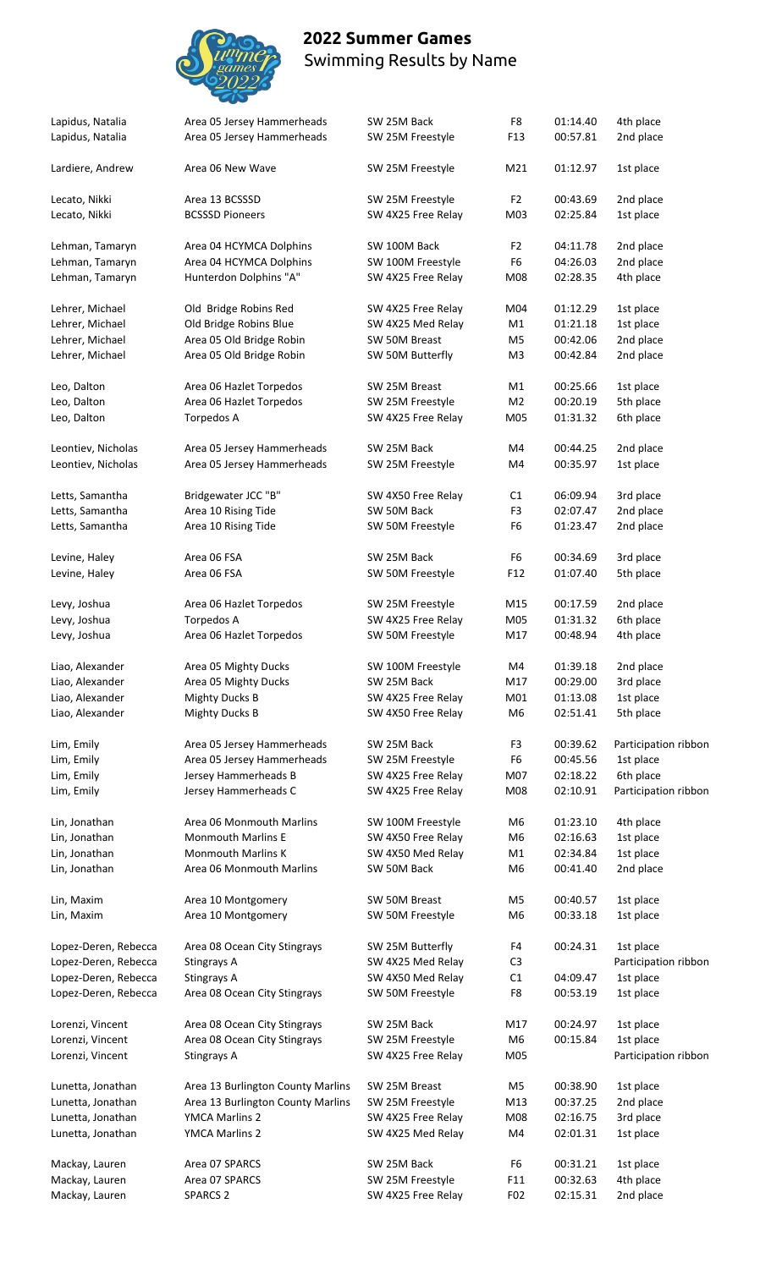

| Lapidus, Natalia                     | Area 05 Jersey Hammerheads                                   | SW 25M Back                             | F8                               | 01:14.40             | 4th place              |
|--------------------------------------|--------------------------------------------------------------|-----------------------------------------|----------------------------------|----------------------|------------------------|
| Lapidus, Natalia                     | Area 05 Jersey Hammerheads                                   | SW 25M Freestyle                        | F13                              | 00:57.81             | 2nd place              |
| Lardiere, Andrew                     | Area 06 New Wave                                             | SW 25M Freestyle                        | M21                              | 01:12.97             | 1st place              |
|                                      | Area 13 BCSSSD                                               |                                         | F <sub>2</sub>                   | 00:43.69             | 2nd place              |
| Lecato, Nikki<br>Lecato, Nikki       | <b>BCSSSD Pioneers</b>                                       | SW 25M Freestyle<br>SW 4X25 Free Relay  | M03                              | 02:25.84             | 1st place              |
|                                      |                                                              |                                         |                                  |                      |                        |
| Lehman, Tamaryn<br>Lehman, Tamaryn   | Area 04 HCYMCA Dolphins<br>Area 04 HCYMCA Dolphins           | SW 100M Back<br>SW 100M Freestyle       | F <sub>2</sub><br>F <sub>6</sub> | 04:11.78<br>04:26.03 | 2nd place<br>2nd place |
| Lehman, Tamaryn                      | Hunterdon Dolphins "A"                                       | SW 4X25 Free Relay                      | M08                              | 02:28.35             | 4th place              |
|                                      |                                                              |                                         |                                  |                      |                        |
| Lehrer, Michael                      | Old Bridge Robins Red                                        | SW 4X25 Free Relay                      | M04                              | 01:12.29             | 1st place              |
| Lehrer, Michael                      | Old Bridge Robins Blue                                       | SW 4X25 Med Relay                       | M1                               | 01:21.18             | 1st place              |
| Lehrer, Michael                      | Area 05 Old Bridge Robin                                     | SW 50M Breast                           | M5                               | 00:42.06             | 2nd place              |
| Lehrer, Michael                      | Area 05 Old Bridge Robin                                     | SW 50M Butterfly                        | M <sub>3</sub>                   | 00:42.84             | 2nd place              |
| Leo, Dalton                          | Area 06 Hazlet Torpedos                                      | SW 25M Breast                           | M1                               | 00:25.66             | 1st place              |
| Leo, Dalton                          | Area 06 Hazlet Torpedos                                      | SW 25M Freestyle                        | M <sub>2</sub>                   | 00:20.19             | 5th place              |
| Leo, Dalton                          | Torpedos A                                                   | SW 4X25 Free Relay                      | M05                              | 01:31.32             | 6th place              |
| Leontiev, Nicholas                   | Area 05 Jersey Hammerheads                                   | SW 25M Back                             | M4                               | 00:44.25             | 2nd place              |
| Leontiev, Nicholas                   | Area 05 Jersey Hammerheads                                   | SW 25M Freestyle                        | M4                               | 00:35.97             | 1st place              |
|                                      |                                                              |                                         |                                  |                      |                        |
| Letts, Samantha                      | Bridgewater JCC "B"                                          | SW 4X50 Free Relay                      | C1                               | 06:09.94             | 3rd place              |
| Letts, Samantha                      | Area 10 Rising Tide                                          | SW 50M Back                             | F <sub>3</sub>                   | 02:07.47             | 2nd place              |
| Letts, Samantha                      | Area 10 Rising Tide                                          | SW 50M Freestyle                        | F6                               | 01:23.47             | 2nd place              |
| Levine, Haley                        | Area 06 FSA                                                  | SW 25M Back                             | F <sub>6</sub>                   | 00:34.69             | 3rd place              |
| Levine, Haley                        | Area 06 FSA                                                  | SW 50M Freestyle                        | F12                              | 01:07.40             | 5th place              |
| Levy, Joshua                         | Area 06 Hazlet Torpedos                                      | SW 25M Freestyle                        | M15                              | 00:17.59             | 2nd place              |
| Levy, Joshua                         | Torpedos A                                                   | SW 4X25 Free Relay                      | M05                              | 01:31.32             | 6th place              |
| Levy, Joshua                         | Area 06 Hazlet Torpedos                                      | SW 50M Freestyle                        | M17                              | 00:48.94             | 4th place              |
|                                      |                                                              |                                         |                                  |                      |                        |
| Liao, Alexander                      | Area 05 Mighty Ducks                                         | SW 100M Freestyle                       | M4                               | 01:39.18             | 2nd place              |
| Liao, Alexander                      | Area 05 Mighty Ducks                                         | SW 25M Back                             | M17                              | 00:29.00             | 3rd place              |
| Liao, Alexander                      | <b>Mighty Ducks B</b>                                        | SW 4X25 Free Relay                      | M01                              | 01:13.08             | 1st place              |
| Liao, Alexander                      | <b>Mighty Ducks B</b>                                        | SW 4X50 Free Relay                      | M6                               | 02:51.41             | 5th place              |
| Lim, Emily                           | Area 05 Jersey Hammerheads                                   | SW 25M Back                             | F3                               | 00:39.62             | Participation ribbor   |
| Lim, Emily                           | Area 05 Jersey Hammerheads                                   | SW 25M Freestyle                        | F <sub>6</sub>                   | 00:45.56             | 1st place              |
| Lim, Emily                           | Jersey Hammerheads B                                         | SW 4X25 Free Relay                      | M07                              | 02:18.22             | 6th place              |
| Lim, Emily                           | Jersey Hammerheads C                                         | SW 4X25 Free Relay                      | M08                              | 02:10.91             | Participation ribbor   |
|                                      |                                                              |                                         |                                  |                      | 4th place              |
| Lin, Jonathan                        | Area 06 Monmouth Marlins<br>Monmouth Marlins E               | SW 100M Freestyle                       | M <sub>6</sub>                   | 01:23.10<br>02:16.63 | 1st place              |
| Lin, Jonathan<br>Lin, Jonathan       | Monmouth Marlins K                                           | SW 4X50 Free Relay<br>SW 4X50 Med Relay | M6<br>M1                         | 02:34.84             | 1st place              |
| Lin, Jonathan                        | Area 06 Monmouth Marlins                                     | SW 50M Back                             | M <sub>6</sub>                   | 00:41.40             | 2nd place              |
|                                      |                                                              |                                         |                                  |                      |                        |
| Lin, Maxim                           | Area 10 Montgomery                                           | SW 50M Breast                           | M <sub>5</sub>                   | 00:40.57             | 1st place              |
| Lin, Maxim                           | Area 10 Montgomery                                           | SW 50M Freestyle                        | M <sub>6</sub>                   | 00:33.18             | 1st place              |
| Lopez-Deren, Rebecca                 | Area 08 Ocean City Stingrays                                 | SW 25M Butterfly                        | F4                               | 00:24.31             | 1st place              |
| Lopez-Deren, Rebecca                 | Stingrays A                                                  | SW 4X25 Med Relay                       | C <sub>3</sub>                   |                      | Participation ribbor   |
| Lopez-Deren, Rebecca                 | Stingrays A                                                  | SW 4X50 Med Relay                       | C1                               | 04:09.47             | 1st place              |
| Lopez-Deren, Rebecca                 | Area 08 Ocean City Stingrays                                 | SW 50M Freestyle                        | F8                               | 00:53.19             | 1st place              |
|                                      |                                                              |                                         |                                  |                      |                        |
| Lorenzi, Vincent<br>Lorenzi, Vincent | Area 08 Ocean City Stingrays<br>Area 08 Ocean City Stingrays | SW 25M Back<br>SW 25M Freestyle         | M17<br>M6                        | 00:24.97<br>00:15.84 | 1st place<br>1st place |
| Lorenzi, Vincent                     | Stingrays A                                                  | SW 4X25 Free Relay                      | M05                              |                      | Participation ribbor   |
|                                      |                                                              |                                         |                                  |                      |                        |
| Lunetta, Jonathan                    | Area 13 Burlington County Marlins                            | SW 25M Breast                           | M <sub>5</sub>                   | 00:38.90             | 1st place              |
| Lunetta, Jonathan                    | Area 13 Burlington County Marlins                            | SW 25M Freestyle                        | M13                              | 00:37.25             | 2nd place              |
| Lunetta, Jonathan                    | YMCA Marlins 2                                               | SW 4X25 Free Relay                      | M08                              | 02:16.75             | 3rd place              |
| Lunetta, Jonathan                    | YMCA Marlins 2                                               | SW 4X25 Med Relay                       | M4                               | 02:01.31             | 1st place              |
| Mackay, Lauren                       | Area 07 SPARCS                                               | SW 25M Back                             | F6                               | 00:31.21             | 1st place              |
| Mackay, Lauren                       | Area 07 SPARCS                                               | SW 25M Freestyle                        | F11                              | 00:32.63             | 4th place              |
| Mackay, Lauren                       | SPARCS <sub>2</sub>                                          | SW 4X25 Free Relay                      | F <sub>02</sub>                  | 02:15.31             | 2nd place              |
|                                      |                                                              |                                         |                                  |                      |                        |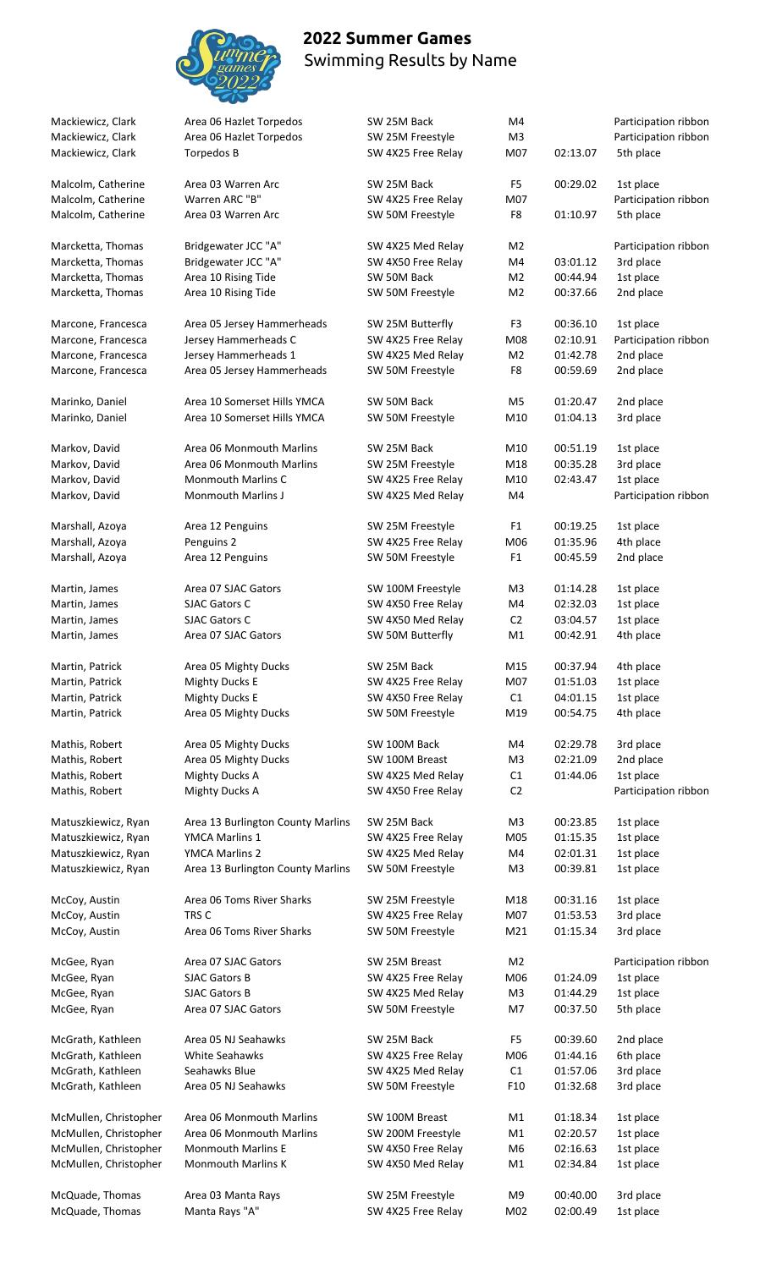

McQuade, Thomas Manta Rays "A" SW 4X25 Free Relay M02 02:00.49 1st place

# Swimming Results by Name

 **2022 Summer Games**

#### Mackiewicz, Clark Area 06 Hazlet Torpedos SW 25M Back M4 M4 Participation ribbon Mackiewicz, Clark Area 06 Hazlet Torpedos SW 25M Freestyle M3 Participation ribbon Mackiewicz, Clark Torpedos B SW 4X25 Free Relay M07 02:13.07 5th place Malcolm, Catherine Area 03 Warren Arc SW 25M Back F5 00:29.02 1st place Malcolm, Catherine Warren ARC "B" SW 4X25 Free Relay M07 Participation ribbon Malcolm, Catherine Area 03 Warren Arc SW 50M Freestyle F8 01:10.97 5th place Marcketta, Thomas Bridgewater JCC "A" SW 4X25 Med Relay M2 Participation ribbon Marcketta, Thomas Bridgewater JCC "A" SW 4X50 Free Relay M4 03:01.12 3rd place Marcketta, Thomas Area 10 Rising Tide SW 50M Back M2 00:44.94 1st place Marcketta, Thomas Area 10 Rising Tide SW 50M Freestyle M2 00:37.66 2nd place Marcone, Francesca Area 05 Jersey Hammerheads SW 25M Butterfly F3 00:36.10 1st place Marcone, Francesca Jersey Hammerheads C SW 4X25 Free Relay M08 02:10.91 Participation ribbon Marcone, Francesca Jersey Hammerheads 1 SW 4X25 Med Relay M2 01:42.78 2nd place Marcone, Francesca Area 05 Jersey Hammerheads SW 50M Freestyle F8 00:59.69 2nd place Marinko, Daniel Area 10 Somerset Hills YMCA SW 50M Back M5 01:20.47 2nd place Marinko, Daniel Area 10 Somerset Hills YMCA SW 50M Freestyle M10 01:04.13 3rd place Markov, David **Area 06 Monmouth Marlins** SW 25M Back M10 00:51.19 1st place Markov, David Area 06 Monmouth Marlins SW 25M Freestyle M18 00:35.28 3rd place Markov, David Monmouth Marlins C SW 4X25 Free Relay M10 02:43.47 1st place Markov, David Monmouth Marlins J SW 4X25 Med Relay M4 Participation ribbon Marshall, Azoya Area 12 Penguins SW 25M Freestyle F1 00:19.25 1st place Marshall, Azoya Penguins 2 SW 4X25 Free Relay M06 01:35.96 4th place Marshall, Azoya Area 12 Penguins SW 50M Freestyle F1 00:45.59 2nd place Martin, James Area 07 SJAC Gators SW 100M Freestyle M3 01:14.28 1st place Martin, James SJAC Gators C SUME ASSO Free Relay M4 02:32.03 1st place Martin, James SJAC Gators C SUMER SW 4X50 Med Relay C2 03:04.57 1st place Martin, James **Area 07 SJAC Gators** SW 50M Butterfly M1 00:42.91 4th place Martin, Patrick **Area 05 Mighty Ducks** SW 25M Back M15 00:37.94 4th place Martin, Patrick Mighty Ducks E SW 4X25 Free Relay M07 01:51.03 1st place Martin, Patrick Mighty Ducks E SW 4X50 Free Relay C1 04:01.15 1st place Martin, Patrick **Area 05 Mighty Ducks** SW 50M Freestyle M19 00:54.75 4th place Mathis, Robert **Area 05 Mighty Ducks** SW 100M Back M4 02:29.78 3rd place Mathis, Robert Area 05 Mighty Ducks SW 100M Breast M3 02:21.09 2nd place Mathis, Robert Mighty Ducks A SW 4X25 Med Relay C1 01:44.06 1st place Mathis, Robert Mighty Ducks A SW 4X50 Free Relay C2 Participation ribbon Matuszkiewicz, Ryan Area 13 Burlington County Marlins SW 25M Back M3 00:23.85 1st place Matuszkiewicz, Ryan YMCA Marlins 1 SW 4X25 Free Relay M05 01:15.35 1st place Matuszkiewicz, Ryan YMCA Marlins 2 SW 4X25 Med Relay M4 02:01.31 1st place Matuszkiewicz, Ryan Area 13 Burlington County Marlins SW 50M Freestyle M3 00:39.81 1st place McCoy, Austin Area 06 Toms River Sharks SW 25M Freestyle M18 00:31.16 1st place McCoy, Austin TRS C TRS C TRIM TRS C SW 4X25 Free Relay M07 01:53.53 3rd place McCoy, Austin Area 06 Toms River Sharks SW 50M Freestyle M21 01:15.34 3rd place McGee, Ryan **Area 07 SJAC Gators** SW 25M Breast M2 Participation ribbon McGee, Ryan SJAC Gators B SW 4X25 Free Relay M06 01:24.09 1st place McGee, Ryan SJAC Gators B SAS SW 4X25 Med Relay M3 01:44.29 1st place McGee, Ryan Area 07 SJAC Gators SW 50M Freestyle M7 00:37.50 5th place McGrath, Kathleen Area 05 NJ Seahawks SW 25M Back F5 00:39.60 2nd place McGrath, Kathleen White Seahawks SW 4X25 Free Relay M06 01:44.16 6th place McGrath, Kathleen Seahawks Blue SW 4X25 Med Relay C1 01:57.06 3rd place McGrath, Kathleen Area 05 NJ Seahawks SW 50M Freestyle F10 01:32.68 3rd place McMullen, Christopher Area 06 Monmouth Marlins SW 100M Breast M1 01:18.34 1st place McMullen, Christopher Area 06 Monmouth Marlins SW 200M Freestyle M1 02:20.57 1st place McMullen, Christopher Monmouth Marlins E SW 4X50 Free Relay M6 02:16.63 1st place McMullen, Christopher Monmouth Marlins K SW 4X50 Med Relay M1 02:34.84 1st place McQuade, Thomas Area 03 Manta Rays SW 25M Freestyle M9 00:40.00 3rd place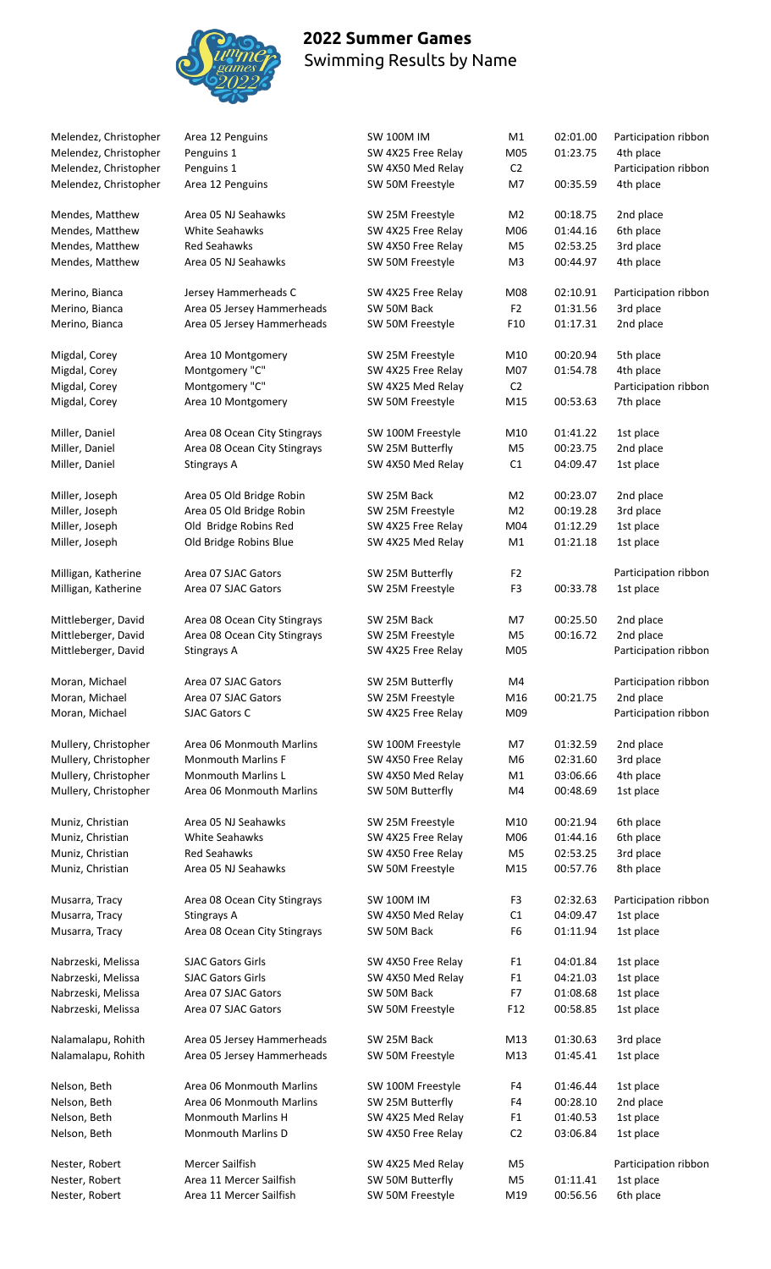

| Melendez, Christopher | Area 12 Penguins             | <b>SW 100M IM</b>  | M1              | 02:01.00 | Participation ribbon |
|-----------------------|------------------------------|--------------------|-----------------|----------|----------------------|
| Melendez, Christopher | Penguins 1                   | SW 4X25 Free Relay | M05             | 01:23.75 | 4th place            |
| Melendez, Christopher | Penguins 1                   | SW 4X50 Med Relay  | C <sub>2</sub>  |          | Participation ribbon |
| Melendez, Christopher | Area 12 Penguins             | SW 50M Freestyle   | M7              | 00:35.59 | 4th place            |
| Mendes, Matthew       | Area 05 NJ Seahawks          | SW 25M Freestyle   | M <sub>2</sub>  | 00:18.75 | 2nd place            |
| Mendes, Matthew       | <b>White Seahawks</b>        | SW 4X25 Free Relay | M06             | 01:44.16 | 6th place            |
| Mendes, Matthew       | <b>Red Seahawks</b>          | SW 4X50 Free Relay | M <sub>5</sub>  | 02:53.25 | 3rd place            |
| Mendes, Matthew       | Area 05 NJ Seahawks          | SW 50M Freestyle   | M3              | 00:44.97 | 4th place            |
| Merino, Bianca        | Jersey Hammerheads C         | SW 4X25 Free Relay | M08             | 02:10.91 | Participation ribbon |
| Merino, Bianca        | Area 05 Jersey Hammerheads   | SW 50M Back        | F <sub>2</sub>  | 01:31.56 | 3rd place            |
| Merino, Bianca        | Area 05 Jersey Hammerheads   | SW 50M Freestyle   | F <sub>10</sub> | 01:17.31 | 2nd place            |
| Migdal, Corey         | Area 10 Montgomery           | SW 25M Freestyle   | M10             | 00:20.94 | 5th place            |
| Migdal, Corey         | Montgomery "C"               | SW 4X25 Free Relay | M07             | 01:54.78 | 4th place            |
| Migdal, Corey         | Montgomery "C"               | SW 4X25 Med Relay  | C <sub>2</sub>  |          | Participation ribbon |
| Migdal, Corey         | Area 10 Montgomery           | SW 50M Freestyle   | M15             | 00:53.63 | 7th place            |
| Miller, Daniel        | Area 08 Ocean City Stingrays | SW 100M Freestyle  | M10             | 01:41.22 | 1st place            |
| Miller, Daniel        | Area 08 Ocean City Stingrays | SW 25M Butterfly   | M <sub>5</sub>  | 00:23.75 | 2nd place            |
| Miller, Daniel        | Stingrays A                  | SW 4X50 Med Relay  | C1              | 04:09.47 | 1st place            |
| Miller, Joseph        | Area 05 Old Bridge Robin     | SW 25M Back        | M <sub>2</sub>  | 00:23.07 | 2nd place            |
| Miller, Joseph        | Area 05 Old Bridge Robin     | SW 25M Freestyle   | M <sub>2</sub>  | 00:19.28 | 3rd place            |
| Miller, Joseph        | Old Bridge Robins Red        | SW 4X25 Free Relay | M04             | 01:12.29 | 1st place            |
| Miller, Joseph        | Old Bridge Robins Blue       | SW 4X25 Med Relay  | M1              | 01:21.18 | 1st place            |
|                       |                              |                    |                 |          |                      |
| Milligan, Katherine   | Area 07 SJAC Gators          | SW 25M Butterfly   | F <sub>2</sub>  |          | Participation ribbon |
| Milligan, Katherine   | Area 07 SJAC Gators          | SW 25M Freestyle   | F <sub>3</sub>  | 00:33.78 | 1st place            |
| Mittleberger, David   | Area 08 Ocean City Stingrays | SW 25M Back        | M7              | 00:25.50 | 2nd place            |
| Mittleberger, David   | Area 08 Ocean City Stingrays | SW 25M Freestyle   | M <sub>5</sub>  | 00:16.72 | 2nd place            |
| Mittleberger, David   | Stingrays A                  | SW 4X25 Free Relay | M05             |          | Participation ribbon |
| Moran, Michael        | Area 07 SJAC Gators          | SW 25M Butterfly   | M4              |          | Participation ribbon |
| Moran, Michael        | Area 07 SJAC Gators          | SW 25M Freestyle   | M16             | 00:21.75 | 2nd place            |
| Moran, Michael        | <b>SJAC Gators C</b>         | SW 4X25 Free Relay | M09             |          | Participation ribbon |
| Mullery, Christopher  | Area 06 Monmouth Marlins     | SW 100M Freestyle  | M7              | 01:32.59 | 2nd place            |
| Mullery, Christopher  | <b>Monmouth Marlins F</b>    | SW 4X50 Free Relay | M <sub>6</sub>  | 02:31.60 | 3rd place            |
| Mullery, Christopher  | <b>Monmouth Marlins L</b>    | SW 4X50 Med Relay  | Μ1              | 03:06.66 | 4th place            |
| Mullery, Christopher  | Area 06 Monmouth Marlins     | SW 50M Butterfly   | M4              | 00:48.69 | 1st place            |
| Muniz, Christian      | Area 05 NJ Seahawks          | SW 25M Freestyle   | M10             | 00:21.94 | 6th place            |
| Muniz, Christian      | <b>White Seahawks</b>        | SW 4X25 Free Relay | M06             | 01:44.16 | 6th place            |
| Muniz, Christian      | <b>Red Seahawks</b>          | SW 4X50 Free Relay | M5              | 02:53.25 | 3rd place            |
| Muniz, Christian      | Area 05 NJ Seahawks          | SW 50M Freestyle   | M15             | 00:57.76 | 8th place            |
| Musarra, Tracy        | Area 08 Ocean City Stingrays | <b>SW 100M IM</b>  | F3              | 02:32.63 | Participation ribbon |
| Musarra, Tracy        | Stingrays A                  | SW 4X50 Med Relay  | C1              | 04:09.47 | 1st place            |
| Musarra, Tracy        | Area 08 Ocean City Stingrays | SW 50M Back        | F <sub>6</sub>  | 01:11.94 | 1st place            |
| Nabrzeski, Melissa    | <b>SJAC Gators Girls</b>     | SW 4X50 Free Relay | F <sub>1</sub>  | 04:01.84 | 1st place            |
| Nabrzeski, Melissa    | <b>SJAC Gators Girls</b>     | SW 4X50 Med Relay  | F <sub>1</sub>  | 04:21.03 | 1st place            |
| Nabrzeski, Melissa    | Area 07 SJAC Gators          | SW 50M Back        | F7              | 01:08.68 | 1st place            |
| Nabrzeski, Melissa    | Area 07 SJAC Gators          | SW 50M Freestyle   | F <sub>12</sub> | 00:58.85 | 1st place            |
| Nalamalapu, Rohith    | Area 05 Jersey Hammerheads   | SW 25M Back        | M13             | 01:30.63 | 3rd place            |
| Nalamalapu, Rohith    | Area 05 Jersey Hammerheads   | SW 50M Freestyle   | M13             | 01:45.41 | 1st place            |
|                       |                              |                    |                 |          |                      |
| Nelson, Beth          | Area 06 Monmouth Marlins     | SW 100M Freestyle  | F4              | 01:46.44 | 1st place            |
| Nelson, Beth          | Area 06 Monmouth Marlins     | SW 25M Butterfly   | F4              | 00:28.10 | 2nd place            |
| Nelson, Beth          | Monmouth Marlins H           | SW 4X25 Med Relay  | F <sub>1</sub>  | 01:40.53 | 1st place            |
| Nelson, Beth          | Monmouth Marlins D           | SW 4X50 Free Relay | C <sub>2</sub>  | 03:06.84 | 1st place            |
| Nester, Robert        | Mercer Sailfish              | SW 4X25 Med Relay  | M5              |          | Participation ribbon |
| Nester, Robert        | Area 11 Mercer Sailfish      | SW 50M Butterfly   | M5              | 01:11.41 | 1st place            |
| Nester, Robert        | Area 11 Mercer Sailfish      | SW 50M Freestyle   | M19             | 00:56.56 | 6th place            |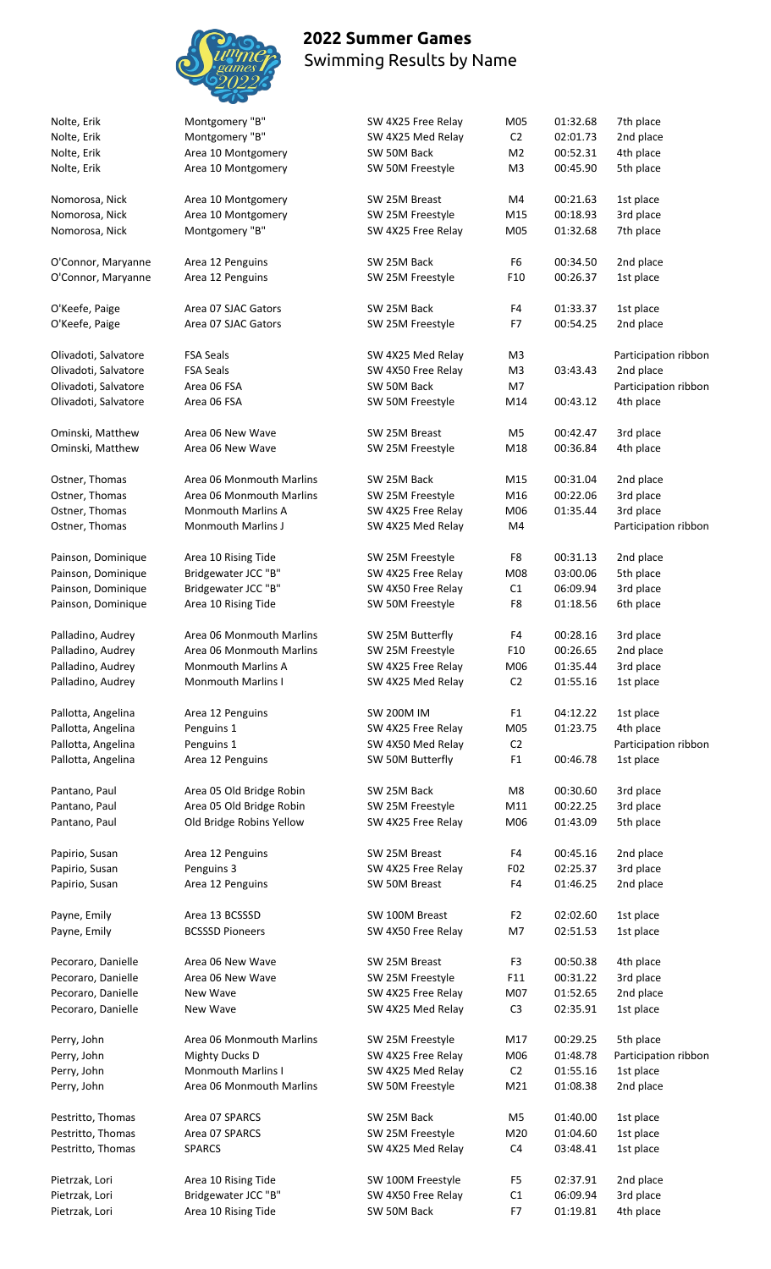

| Nolte, Erik          | Montgomery "B"            | SW 4X25 Free Relay | M05             | 01:32.68 | 7th place            |
|----------------------|---------------------------|--------------------|-----------------|----------|----------------------|
| Nolte, Erik          | Montgomery "B"            | SW 4X25 Med Relay  | C <sub>2</sub>  | 02:01.73 | 2nd place            |
| Nolte, Erik          | Area 10 Montgomery        | SW 50M Back        | M <sub>2</sub>  | 00:52.31 | 4th place            |
|                      | Area 10 Montgomery        | SW 50M Freestyle   | M3              | 00:45.90 | 5th place            |
| Nolte, Erik          |                           |                    |                 |          |                      |
| Nomorosa, Nick       | Area 10 Montgomery        | SW 25M Breast      | M4              | 00:21.63 | 1st place            |
|                      |                           |                    |                 |          |                      |
| Nomorosa, Nick       | Area 10 Montgomery        | SW 25M Freestyle   | M15             | 00:18.93 | 3rd place            |
| Nomorosa, Nick       | Montgomery "B"            | SW 4X25 Free Relay | M05             | 01:32.68 | 7th place            |
| O'Connor, Maryanne   | Area 12 Penguins          | SW 25M Back        | F6              | 00:34.50 | 2nd place            |
|                      |                           |                    |                 |          |                      |
| O'Connor, Maryanne   | Area 12 Penguins          | SW 25M Freestyle   | F10             | 00:26.37 | 1st place            |
| O'Keefe, Paige       | Area 07 SJAC Gators       | SW 25M Back        | F4              | 01:33.37 | 1st place            |
| O'Keefe, Paige       | Area 07 SJAC Gators       | SW 25M Freestyle   | F7              | 00:54.25 | 2nd place            |
|                      |                           |                    |                 |          |                      |
| Olivadoti, Salvatore | <b>FSA Seals</b>          | SW 4X25 Med Relay  | M <sub>3</sub>  |          | Participation ribbon |
| Olivadoti, Salvatore | <b>FSA Seals</b>          | SW 4X50 Free Relay | M3              | 03:43.43 | 2nd place            |
| Olivadoti, Salvatore | Area 06 FSA               | SW 50M Back        | M7              |          | Participation ribbon |
|                      |                           |                    |                 |          |                      |
| Olivadoti, Salvatore | Area 06 FSA               | SW 50M Freestyle   | M14             | 00:43.12 | 4th place            |
| Ominski, Matthew     | Area 06 New Wave          | SW 25M Breast      | M5              | 00:42.47 | 3rd place            |
| Ominski, Matthew     | Area 06 New Wave          | SW 25M Freestyle   | M18             | 00:36.84 | 4th place            |
|                      |                           |                    |                 |          |                      |
| Ostner, Thomas       | Area 06 Monmouth Marlins  | SW 25M Back        | M15             | 00:31.04 | 2nd place            |
| Ostner, Thomas       | Area 06 Monmouth Marlins  | SW 25M Freestyle   | M16             | 00:22.06 | 3rd place            |
| Ostner, Thomas       | <b>Monmouth Marlins A</b> | SW 4X25 Free Relay | M06             | 01:35.44 | 3rd place            |
| Ostner, Thomas       | <b>Monmouth Marlins J</b> | SW 4X25 Med Relay  | M4              |          | Participation ribbon |
|                      |                           |                    |                 |          |                      |
| Painson, Dominique   | Area 10 Rising Tide       | SW 25M Freestyle   | F8              | 00:31.13 | 2nd place            |
| Painson, Dominique   | Bridgewater JCC "B"       | SW 4X25 Free Relay | M08             | 03:00.06 | 5th place            |
| Painson, Dominique   | Bridgewater JCC "B"       | SW 4X50 Free Relay | C1              | 06:09.94 | 3rd place            |
|                      |                           |                    |                 |          |                      |
| Painson, Dominique   | Area 10 Rising Tide       | SW 50M Freestyle   | F8              | 01:18.56 | 6th place            |
| Palladino, Audrey    | Area 06 Monmouth Marlins  | SW 25M Butterfly   | F4              | 00:28.16 | 3rd place            |
| Palladino, Audrey    | Area 06 Monmouth Marlins  | SW 25M Freestyle   | F <sub>10</sub> | 00:26.65 | 2nd place            |
|                      |                           |                    |                 |          |                      |
| Palladino, Audrey    | <b>Monmouth Marlins A</b> | SW 4X25 Free Relay | M06             | 01:35.44 | 3rd place            |
| Palladino, Audrey    | <b>Monmouth Marlins I</b> | SW 4X25 Med Relay  | C <sub>2</sub>  | 01:55.16 | 1st place            |
| Pallotta, Angelina   | Area 12 Penguins          | <b>SW 200M IM</b>  | F <sub>1</sub>  | 04:12.22 | 1st place            |
|                      |                           |                    |                 |          |                      |
| Pallotta, Angelina   | Penguins 1                | SW 4X25 Free Relay | M05             | 01:23.75 | 4th place            |
| Pallotta, Angelina   | Penguins 1                | SW 4X50 Med Relay  | C <sub>2</sub>  |          | Participation ribbon |
| Pallotta, Angelina   | Area 12 Penguins          | SW 50M Butterfly   | F1              | 00:46.78 | 1st place            |
|                      |                           |                    |                 |          |                      |
| Pantano, Paul        | Area 05 Old Bridge Robin  | SW 25M Back        | M8              | 00:30.60 | 3rd place            |
| Pantano, Paul        | Area 05 Old Bridge Robin  | SW 25M Freestyle   | M11             | 00:22.25 | 3rd place            |
| Pantano, Paul        | Old Bridge Robins Yellow  | SW 4X25 Free Relay | M06             | 01:43.09 | 5th place            |
| Papirio, Susan       | Area 12 Penguins          | SW 25M Breast      | F4              | 00:45.16 | 2nd place            |
| Papirio, Susan       | Penguins 3                | SW 4X25 Free Relay | F <sub>02</sub> | 02:25.37 | 3rd place            |
|                      |                           |                    | F4              |          |                      |
| Papirio, Susan       | Area 12 Penguins          | SW 50M Breast      |                 | 01:46.25 | 2nd place            |
| Payne, Emily         | Area 13 BCSSSD            | SW 100M Breast     | F2              | 02:02.60 | 1st place            |
| Payne, Emily         | <b>BCSSSD Pioneers</b>    | SW 4X50 Free Relay | M7              | 02:51.53 | 1st place            |
|                      |                           |                    |                 |          |                      |
| Pecoraro, Danielle   | Area 06 New Wave          | SW 25M Breast      | F3              | 00:50.38 | 4th place            |
| Pecoraro, Danielle   | Area 06 New Wave          | SW 25M Freestyle   | F11             | 00:31.22 | 3rd place            |
|                      | New Wave                  |                    | M07             |          |                      |
| Pecoraro, Danielle   |                           | SW 4X25 Free Relay |                 | 01:52.65 | 2nd place            |
| Pecoraro, Danielle   | New Wave                  | SW 4X25 Med Relay  | C <sub>3</sub>  | 02:35.91 | 1st place            |
| Perry, John          | Area 06 Monmouth Marlins  | SW 25M Freestyle   | M17             | 00:29.25 | 5th place            |
| Perry, John          | <b>Mighty Ducks D</b>     | SW 4X25 Free Relay | M06             | 01:48.78 | Participation ribbon |
|                      |                           |                    |                 |          |                      |
| Perry, John          | Monmouth Marlins I        | SW 4X25 Med Relay  | C <sub>2</sub>  | 01:55.16 | 1st place            |
| Perry, John          | Area 06 Monmouth Marlins  | SW 50M Freestyle   | M21             | 01:08.38 | 2nd place            |
| Pestritto, Thomas    | Area 07 SPARCS            | SW 25M Back        | M5              | 01:40.00 | 1st place            |
| Pestritto, Thomas    | Area 07 SPARCS            | SW 25M Freestyle   | M20             | 01:04.60 | 1st place            |
| Pestritto, Thomas    | <b>SPARCS</b>             | SW 4X25 Med Relay  | C4              | 03:48.41 | 1st place            |
|                      |                           |                    |                 |          |                      |
| Pietrzak, Lori       | Area 10 Rising Tide       | SW 100M Freestyle  | F5              | 02:37.91 | 2nd place            |
| Pietrzak, Lori       | Bridgewater JCC "B"       | SW 4X50 Free Relay | C1              | 06:09.94 | 3rd place            |
| Pietrzak, Lori       | Area 10 Rising Tide       | SW 50M Back        | F7              | 01:19.81 | 4th place            |
|                      |                           |                    |                 |          |                      |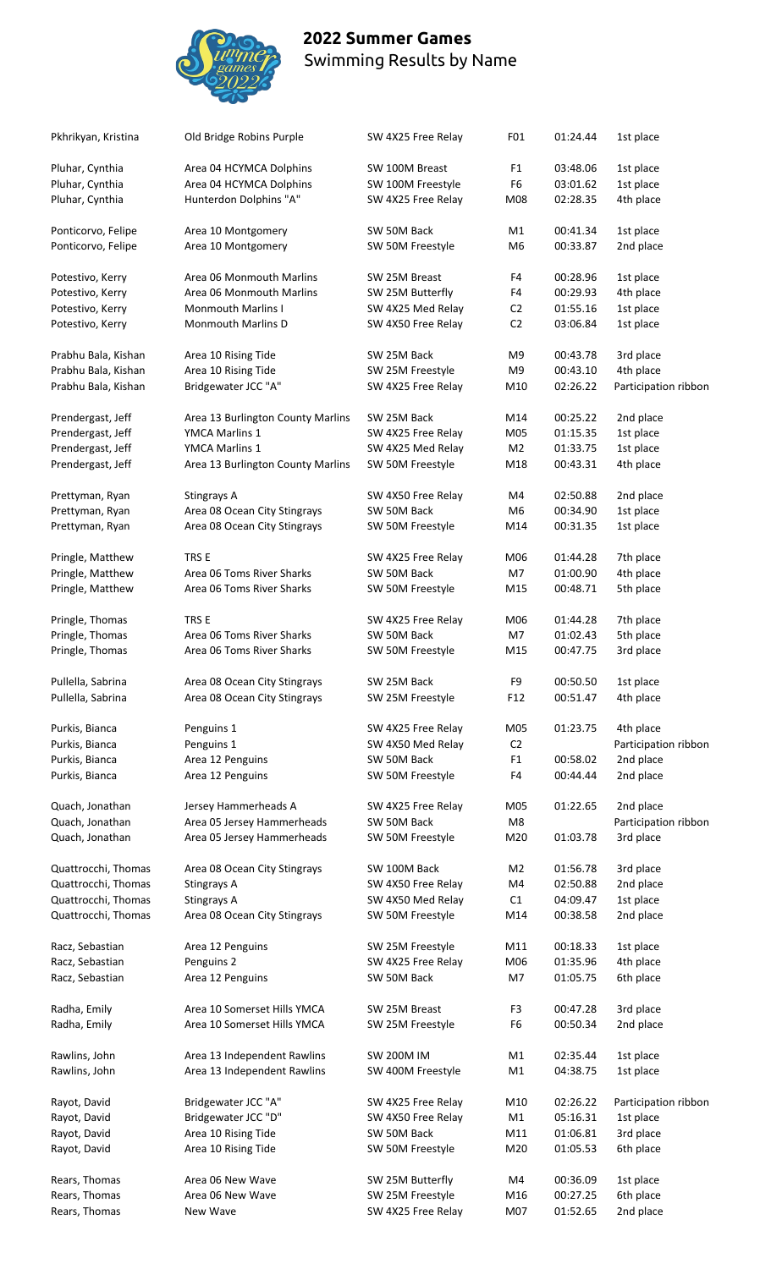

| Pkhrikyan, Kristina | Old Bridge Robins Purple          | SW 4X25 Free Relay | F01            | 01:24.44             | 1st place            |
|---------------------|-----------------------------------|--------------------|----------------|----------------------|----------------------|
| Pluhar, Cynthia     | Area 04 HCYMCA Dolphins           | SW 100M Breast     | F1             | 03:48.06             | 1st place            |
| Pluhar, Cynthia     | Area 04 HCYMCA Dolphins           | SW 100M Freestyle  | F6             | 03:01.62             | 1st place            |
| Pluhar, Cynthia     | Hunterdon Dolphins "A"            | SW 4X25 Free Relay | M08            | 02:28.35             | 4th place            |
| Ponticorvo, Felipe  | Area 10 Montgomery                | SW 50M Back        | M1             | 00:41.34             | 1st place            |
| Ponticorvo, Felipe  | Area 10 Montgomery                | SW 50M Freestyle   | M <sub>6</sub> | 00:33.87             | 2nd place            |
| Potestivo, Kerry    | Area 06 Monmouth Marlins          | SW 25M Breast      | F4             | 00:28.96             | 1st place            |
| Potestivo, Kerry    | Area 06 Monmouth Marlins          | SW 25M Butterfly   | F4             | 00:29.93             | 4th place            |
| Potestivo, Kerry    | <b>Monmouth Marlins I</b>         | SW 4X25 Med Relay  | C <sub>2</sub> | 01:55.16             | 1st place            |
| Potestivo, Kerry    | <b>Monmouth Marlins D</b>         | SW 4X50 Free Relay | C <sub>2</sub> | 03:06.84             | 1st place            |
| Prabhu Bala, Kishan | Area 10 Rising Tide               | SW 25M Back        | M9             | 00:43.78             | 3rd place            |
| Prabhu Bala, Kishan | Area 10 Rising Tide               | SW 25M Freestyle   | M <sub>9</sub> | 00:43.10             | 4th place            |
| Prabhu Bala, Kishan | Bridgewater JCC "A"               | SW 4X25 Free Relay | M10            | 02:26.22             | Participation ribbon |
| Prendergast, Jeff   | Area 13 Burlington County Marlins | SW 25M Back        | M14            | 00:25.22             | 2nd place            |
| Prendergast, Jeff   | YMCA Marlins 1                    | SW 4X25 Free Relay | M05            | 01:15.35             | 1st place            |
| Prendergast, Jeff   | YMCA Marlins 1                    | SW 4X25 Med Relay  | M <sub>2</sub> | 01:33.75             | 1st place            |
| Prendergast, Jeff   | Area 13 Burlington County Marlins | SW 50M Freestyle   | M18            | 00:43.31             | 4th place            |
| Prettyman, Ryan     | Stingrays A                       | SW 4X50 Free Relay | M4             | 02:50.88             | 2nd place            |
|                     |                                   |                    |                |                      |                      |
| Prettyman, Ryan     | Area 08 Ocean City Stingrays      | SW 50M Back        | M <sub>6</sub> | 00:34.90             | 1st place            |
| Prettyman, Ryan     | Area 08 Ocean City Stingrays      | SW 50M Freestyle   | M14            | 00:31.35             | 1st place            |
| Pringle, Matthew    | TRS E                             | SW 4X25 Free Relay | M06            | 01:44.28             | 7th place            |
| Pringle, Matthew    | Area 06 Toms River Sharks         | SW 50M Back        | M7             | 01:00.90             | 4th place            |
| Pringle, Matthew    | Area 06 Toms River Sharks         | SW 50M Freestyle   | M15            | 00:48.71             | 5th place            |
| Pringle, Thomas     | TRS E                             | SW 4X25 Free Relay | M06            | 01:44.28             | 7th place            |
| Pringle, Thomas     | Area 06 Toms River Sharks         | SW 50M Back        | M7             | 01:02.43             | 5th place            |
| Pringle, Thomas     | Area 06 Toms River Sharks         | SW 50M Freestyle   | M15            | 00:47.75             | 3rd place            |
|                     |                                   |                    |                |                      |                      |
| Pullella, Sabrina   | Area 08 Ocean City Stingrays      | SW 25M Back        | F9             | 00:50.50             | 1st place            |
| Pullella, Sabrina   | Area 08 Ocean City Stingrays      | SW 25M Freestyle   | F12            | 00:51.47             | 4th place            |
| Purkis, Bianca      | Penguins 1                        | SW 4X25 Free Relay | M05            | 01:23.75             | 4th place            |
| Purkis, Bianca      | Penguins 1                        | SW 4X50 Med Relay  | C <sub>2</sub> |                      | Participation ribbon |
| Purkis, Bianca      | Area 12 Penguins                  | SW 50M Back        | F <sub>1</sub> | 00:58.02             | 2nd place            |
| Purkis, Bianca      | Area 12 Penguins                  | SW 50M Freestyle   | F4             | 00:44.44             | 2nd place            |
|                     |                                   |                    |                |                      |                      |
| Quach, Jonathan     | Jersey Hammerheads A              | SW 4X25 Free Relay | M05            | 01:22.65             | 2nd place            |
| Quach, Jonathan     | Area 05 Jersey Hammerheads        | SW 50M Back        | M8             |                      | Participation ribbon |
| Quach, Jonathan     | Area 05 Jersey Hammerheads        | SW 50M Freestyle   | M20            | 01:03.78             | 3rd place            |
| Quattrocchi, Thomas | Area 08 Ocean City Stingrays      | SW 100M Back       | M <sub>2</sub> | 01:56.78             | 3rd place            |
| Quattrocchi, Thomas | Stingrays A                       | SW 4X50 Free Relay | M4             | 02:50.88             | 2nd place            |
| Quattrocchi, Thomas | Stingrays A                       | SW 4X50 Med Relay  | C1             | 04:09.47             | 1st place            |
| Quattrocchi, Thomas | Area 08 Ocean City Stingrays      | SW 50M Freestyle   | M14            | 00:38.58             | 2nd place            |
| Racz, Sebastian     | Area 12 Penguins                  | SW 25M Freestyle   | M11            | 00:18.33             | 1st place            |
| Racz, Sebastian     | Penguins 2                        | SW 4X25 Free Relay | M06            | 01:35.96             | 4th place            |
| Racz, Sebastian     | Area 12 Penguins                  | SW 50M Back        | M7             | 01:05.75             | 6th place            |
| Radha, Emily        | Area 10 Somerset Hills YMCA       | SW 25M Breast      | F3             | 00:47.28             | 3rd place            |
| Radha, Emily        | Area 10 Somerset Hills YMCA       | SW 25M Freestyle   | F6             | 00:50.34             | 2nd place            |
|                     |                                   |                    |                |                      |                      |
| Rawlins, John       | Area 13 Independent Rawlins       | <b>SW 200M IM</b>  | M1             | 02:35.44             | 1st place            |
| Rawlins, John       | Area 13 Independent Rawlins       | SW 400M Freestyle  | M1             | 04:38.75             | 1st place            |
| Rayot, David        | Bridgewater JCC "A"               | SW 4X25 Free Relay | M10            | 02:26.22             | Participation ribbon |
| Rayot, David        | Bridgewater JCC "D"               | SW 4X50 Free Relay | M1             | 05:16.31             | 1st place            |
| Rayot, David        | Area 10 Rising Tide               | SW 50M Back        | M11            | 01:06.81             | 3rd place            |
| Rayot, David        | Area 10 Rising Tide               | SW 50M Freestyle   | M20            | 01:05.53             | 6th place            |
|                     | Area 06 New Wave                  | SW 25M Butterfly   | M4             |                      |                      |
| Rears, Thomas       | Area 06 New Wave                  |                    |                | 00:36.09<br>00:27.25 | 1st place            |
| Rears, Thomas       |                                   | SW 25M Freestyle   | M16            |                      | 6th place            |
| Rears, Thomas       | New Wave                          | SW 4X25 Free Relay | M07            | 01:52.65             | 2nd place            |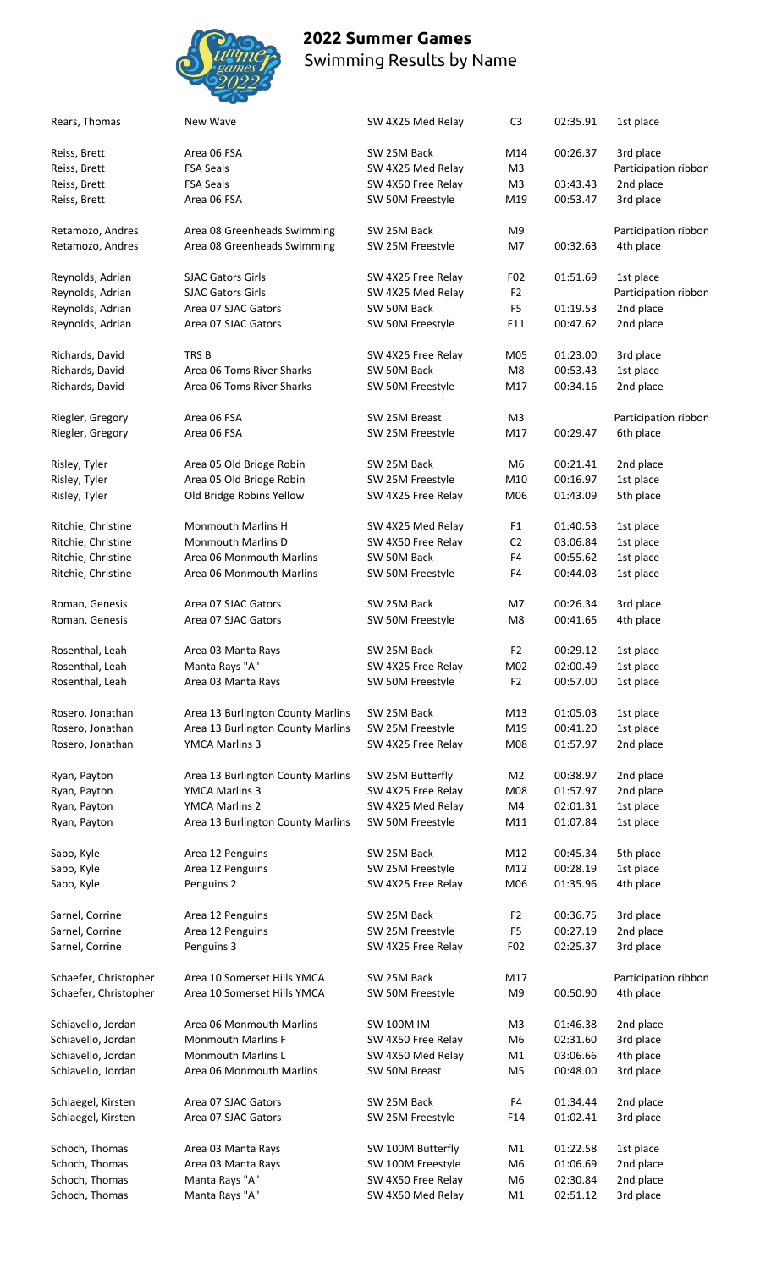

| Rears, Thomas         | New Wave                          | SW 4X25 Med Relay  | C <sub>3</sub> | 02:35.91 | 1st place            |
|-----------------------|-----------------------------------|--------------------|----------------|----------|----------------------|
| Reiss, Brett          | Area 06 FSA                       | SW 25M Back        | M14            | 00:26.37 | 3rd place            |
| Reiss, Brett          | <b>FSA Seals</b>                  | SW 4X25 Med Relay  | M <sub>3</sub> |          | Participation ribbon |
| Reiss, Brett          | <b>FSA Seals</b>                  | SW 4X50 Free Relay | M <sub>3</sub> | 03:43.43 | 2nd place            |
| Reiss, Brett          | Area 06 FSA                       | SW 50M Freestyle   | M19            | 00:53.47 | 3rd place            |
| Retamozo, Andres      | Area 08 Greenheads Swimming       | SW 25M Back        | M9             |          | Participation ribbon |
| Retamozo, Andres      | Area 08 Greenheads Swimming       | SW 25M Freestyle   | M7             | 00:32.63 | 4th place            |
| Reynolds, Adrian      | <b>SJAC Gators Girls</b>          | SW 4X25 Free Relay | F02            | 01:51.69 | 1st place            |
| Reynolds, Adrian      | <b>SJAC Gators Girls</b>          | SW 4X25 Med Relay  | F <sub>2</sub> |          | Participation ribbon |
| Reynolds, Adrian      | Area 07 SJAC Gators               | SW 50M Back        | F <sub>5</sub> | 01:19.53 | 2nd place            |
| Reynolds, Adrian      | Area 07 SJAC Gators               | SW 50M Freestyle   | F11            | 00:47.62 | 2nd place            |
|                       |                                   |                    |                |          |                      |
| Richards, David       | TRS B                             | SW 4X25 Free Relay | M05            | 01:23.00 | 3rd place            |
| Richards, David       | Area 06 Toms River Sharks         | SW 50M Back        | M8             | 00:53.43 | 1st place            |
| Richards, David       | Area 06 Toms River Sharks         | SW 50M Freestyle   | M17            | 00:34.16 | 2nd place            |
| Riegler, Gregory      | Area 06 FSA                       | SW 25M Breast      | M3             |          | Participation ribbon |
| Riegler, Gregory      | Area 06 FSA                       | SW 25M Freestyle   | M17            | 00:29.47 | 6th place            |
| Risley, Tyler         | Area 05 Old Bridge Robin          | SW 25M Back        | M6             | 00:21.41 | 2nd place            |
| Risley, Tyler         | Area 05 Old Bridge Robin          | SW 25M Freestyle   | M10            | 00:16.97 | 1st place            |
| Risley, Tyler         | Old Bridge Robins Yellow          | SW 4X25 Free Relay | M06            | 01:43.09 | 5th place            |
|                       |                                   |                    |                |          |                      |
| Ritchie, Christine    | <b>Monmouth Marlins H</b>         | SW 4X25 Med Relay  | F <sub>1</sub> | 01:40.53 | 1st place            |
| Ritchie, Christine    | <b>Monmouth Marlins D</b>         | SW 4X50 Free Relay | C <sub>2</sub> | 03:06.84 | 1st place            |
| Ritchie, Christine    | Area 06 Monmouth Marlins          | SW 50M Back        | F4             | 00:55.62 | 1st place            |
| Ritchie, Christine    | Area 06 Monmouth Marlins          | SW 50M Freestyle   | F4             | 00:44.03 | 1st place            |
| Roman, Genesis        | Area 07 SJAC Gators               | SW 25M Back        | M7             | 00:26.34 | 3rd place            |
| Roman, Genesis        | Area 07 SJAC Gators               | SW 50M Freestyle   | M8             | 00:41.65 | 4th place            |
| Rosenthal, Leah       | Area 03 Manta Rays                | SW 25M Back        | F2             | 00:29.12 | 1st place            |
| Rosenthal, Leah       | Manta Rays "A"                    | SW 4X25 Free Relay | M02            | 02:00.49 | 1st place            |
| Rosenthal, Leah       | Area 03 Manta Rays                | SW 50M Freestyle   | F <sub>2</sub> | 00:57.00 | 1st place            |
|                       |                                   |                    |                |          |                      |
| Rosero, Jonathan      | Area 13 Burlington County Marlins | SW 25M Back        | M13            | 01:05.03 | 1st place            |
| Rosero, Jonathan      | Area 13 Burlington County Marlins | SW 25M Freestyle   | M19            | 00:41.20 | 1st place            |
| Rosero, Jonathan      | YMCA Marlins 3                    | SW 4X25 Free Relay | M08            | 01:57.97 | 2nd place            |
| Ryan, Payton          | Area 13 Burlington County Marlins | SW 25M Butterfly   | M2             | 00:38.97 | 2nd place            |
| Ryan, Payton          | YMCA Marlins 3                    | SW 4X25 Free Relay | M08            | 01:57.97 | 2nd place            |
| Ryan, Payton          | YMCA Marlins 2                    | SW 4X25 Med Relay  | M4             | 02:01.31 | 1st place            |
| Ryan, Payton          | Area 13 Burlington County Marlins | SW 50M Freestyle   | M11            | 01:07.84 | 1st place            |
|                       |                                   |                    |                |          |                      |
| Sabo, Kyle            | Area 12 Penguins                  | SW 25M Back        | M12            | 00:45.34 | 5th place            |
| Sabo, Kyle            | Area 12 Penguins                  | SW 25M Freestyle   | M12            | 00:28.19 | 1st place            |
| Sabo, Kyle            | Penguins 2                        | SW 4X25 Free Relay | M06            | 01:35.96 | 4th place            |
| Sarnel, Corrine       | Area 12 Penguins                  | SW 25M Back        | F <sub>2</sub> | 00:36.75 | 3rd place            |
| Sarnel, Corrine       | Area 12 Penguins                  | SW 25M Freestyle   | F <sub>5</sub> | 00:27.19 | 2nd place            |
| Sarnel, Corrine       | Penguins 3                        | SW 4X25 Free Relay | F02            | 02:25.37 | 3rd place            |
| Schaefer, Christopher | Area 10 Somerset Hills YMCA       | SW 25M Back        | M17            |          | Participation ribbon |
| Schaefer, Christopher | Area 10 Somerset Hills YMCA       | SW 50M Freestyle   | M9             | 00:50.90 | 4th place            |
|                       |                                   |                    |                |          |                      |
| Schiavello, Jordan    | Area 06 Monmouth Marlins          | <b>SW 100M IM</b>  | M <sub>3</sub> | 01:46.38 | 2nd place            |
| Schiavello, Jordan    | <b>Monmouth Marlins F</b>         | SW 4X50 Free Relay | M6             | 02:31.60 | 3rd place            |
| Schiavello, Jordan    | Monmouth Marlins L                | SW 4X50 Med Relay  | M1             | 03:06.66 | 4th place            |
| Schiavello, Jordan    | Area 06 Monmouth Marlins          | SW 50M Breast      | M5             | 00:48.00 | 3rd place            |
| Schlaegel, Kirsten    | Area 07 SJAC Gators               | SW 25M Back        | F4             | 01:34.44 | 2nd place            |
| Schlaegel, Kirsten    | Area 07 SJAC Gators               | SW 25M Freestyle   | F14            | 01:02.41 | 3rd place            |
| Schoch, Thomas        | Area 03 Manta Rays                | SW 100M Butterfly  | M1             | 01:22.58 | 1st place            |
| Schoch, Thomas        | Area 03 Manta Rays                | SW 100M Freestyle  | M6             | 01:06.69 | 2nd place            |
| Schoch, Thomas        |                                   |                    |                |          |                      |
|                       | Manta Rays "A"                    | SW 4X50 Free Relay | M6             | 02:30.84 | 2nd place            |
| Schoch, Thomas        | Manta Rays "A"                    | SW 4X50 Med Relay  | M1             | 02:51.12 | 3rd place            |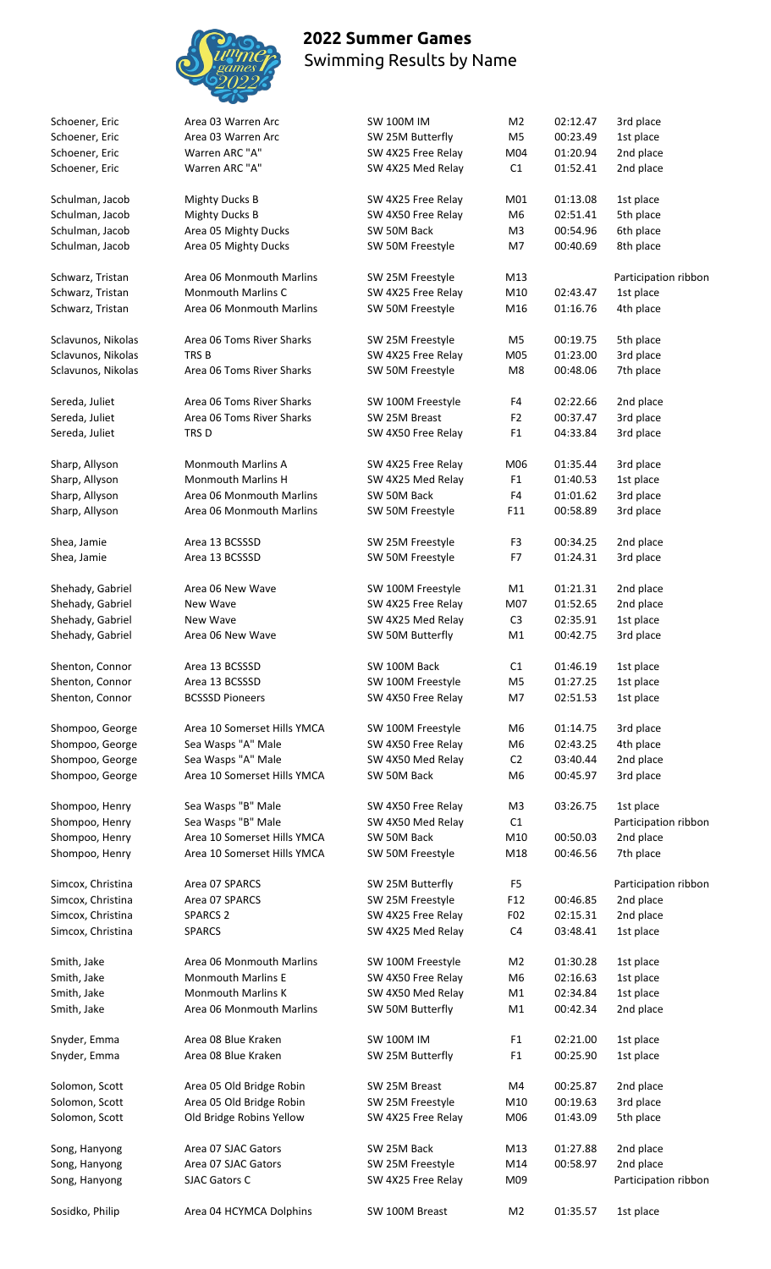

| Schoener, Eric                   | Area 03 Warren Arc                                   | <b>SW 100M IM</b>                 | M <sub>2</sub>  | 02:12.47             | 3rd place              |
|----------------------------------|------------------------------------------------------|-----------------------------------|-----------------|----------------------|------------------------|
| Schoener, Eric                   | Area 03 Warren Arc                                   | SW 25M Butterfly                  | M <sub>5</sub>  | 00:23.49             | 1st place              |
| Schoener, Eric                   | Warren ARC "A"                                       | SW 4X25 Free Relay                | M04             | 01:20.94             | 2nd place              |
| Schoener, Eric                   | Warren ARC "A"                                       | SW 4X25 Med Relay                 | C1              | 01:52.41             | 2nd place              |
| Schulman, Jacob                  | <b>Mighty Ducks B</b>                                | SW 4X25 Free Relay                | M01             | 01:13.08             | 1st place              |
| Schulman, Jacob                  | <b>Mighty Ducks B</b>                                | SW 4X50 Free Relay                | M <sub>6</sub>  | 02:51.41             | 5th place              |
| Schulman, Jacob                  | Area 05 Mighty Ducks                                 | SW 50M Back                       | M <sub>3</sub>  | 00:54.96             | 6th place              |
| Schulman, Jacob                  | Area 05 Mighty Ducks                                 | SW 50M Freestyle                  | M7              | 00:40.69             | 8th place              |
| Schwarz, Tristan                 | Area 06 Monmouth Marlins                             | SW 25M Freestyle                  | M13             |                      | Participation ribbon   |
| Schwarz, Tristan                 | <b>Monmouth Marlins C</b>                            | SW 4X25 Free Relay                | M10             | 02:43.47             | 1st place              |
| Schwarz, Tristan                 | Area 06 Monmouth Marlins                             | SW 50M Freestyle                  | M16             | 01:16.76             | 4th place              |
| Sclavunos, Nikolas               | Area 06 Toms River Sharks                            |                                   | M <sub>5</sub>  | 00:19.75             | 5th place              |
|                                  | TRS <sub>B</sub>                                     | SW 25M Freestyle                  |                 |                      |                        |
| Sclavunos, Nikolas               |                                                      | SW 4X25 Free Relay                | M05             | 01:23.00             | 3rd place              |
| Sclavunos, Nikolas               | Area 06 Toms River Sharks                            | SW 50M Freestyle                  | M8              | 00:48.06             | 7th place              |
| Sereda, Juliet                   | Area 06 Toms River Sharks                            | SW 100M Freestyle                 | F4              | 02:22.66             | 2nd place              |
| Sereda, Juliet                   | Area 06 Toms River Sharks                            | SW 25M Breast                     | F2              | 00:37.47             | 3rd place              |
| Sereda, Juliet                   | TRS D                                                | SW 4X50 Free Relay                | F <sub>1</sub>  | 04:33.84             | 3rd place              |
| Sharp, Allyson                   | <b>Monmouth Marlins A</b>                            | SW 4X25 Free Relay                | M06             | 01:35.44             | 3rd place              |
| Sharp, Allyson                   | <b>Monmouth Marlins H</b>                            | SW 4X25 Med Relay                 | F <sub>1</sub>  | 01:40.53             | 1st place              |
| Sharp, Allyson                   | Area 06 Monmouth Marlins                             | SW 50M Back                       | F4              | 01:01.62             | 3rd place              |
| Sharp, Allyson                   | Area 06 Monmouth Marlins                             | SW 50M Freestyle                  | F11             | 00:58.89             | 3rd place              |
|                                  |                                                      |                                   |                 |                      |                        |
| Shea, Jamie                      | Area 13 BCSSSD                                       | SW 25M Freestyle                  | F <sub>3</sub>  | 00:34.25             | 2nd place              |
| Shea, Jamie                      | Area 13 BCSSSD                                       | SW 50M Freestyle                  | F7              | 01:24.31             | 3rd place              |
| Shehady, Gabriel                 | Area 06 New Wave                                     | SW 100M Freestyle                 | M1              | 01:21.31             | 2nd place              |
| Shehady, Gabriel                 | New Wave                                             | SW 4X25 Free Relay                | M07             | 01:52.65             | 2nd place              |
| Shehady, Gabriel                 | New Wave                                             | SW 4X25 Med Relay                 | C <sub>3</sub>  | 02:35.91             | 1st place              |
| Shehady, Gabriel                 | Area 06 New Wave                                     | SW 50M Butterfly                  | M1              | 00:42.75             | 3rd place              |
|                                  |                                                      |                                   |                 |                      |                        |
| Shenton, Connor                  | Area 13 BCSSSD                                       | SW 100M Back                      | C1              | 01:46.19             | 1st place              |
| Shenton, Connor                  | Area 13 BCSSSD                                       | SW 100M Freestyle                 | M <sub>5</sub>  | 01:27.25             | 1st place              |
| Shenton, Connor                  | <b>BCSSSD Pioneers</b>                               | SW 4X50 Free Relay                | M7              | 02:51.53             | 1st place              |
| Shompoo, George                  | Area 10 Somerset Hills YMCA                          | SW 100M Freestyle                 | M6              | 01:14.75             | 3rd place              |
| Shompoo, George                  | Sea Wasps "A" Male                                   | SW 4X50 Free Relay                | M <sub>6</sub>  | 02:43.25             | 4th place              |
| Shompoo, George                  | Sea Wasps "A" Male                                   | SW 4X50 Med Relay                 | C <sub>2</sub>  | 03:40.44             | 2nd place              |
| Shompoo, George                  | Area 10 Somerset Hills YMCA                          | SW 50M Back                       | M <sub>6</sub>  | 00:45.97             | 3rd place              |
| Shompoo, Henry                   | Sea Wasps "B" Male                                   | SW 4X50 Free Relay                | M <sub>3</sub>  | 03:26.75             | 1st place              |
| Shompoo, Henry                   | Sea Wasps "B" Male                                   | SW 4X50 Med Relay                 | C1              |                      | Participation ribbon   |
| Shompoo, Henry                   | Area 10 Somerset Hills YMCA                          | SW 50M Back                       | M10             | 00:50.03             | 2nd place              |
| Shompoo, Henry                   | Area 10 Somerset Hills YMCA                          | SW 50M Freestyle                  | M18             | 00:46.56             | 7th place              |
|                                  |                                                      |                                   |                 |                      |                        |
| Simcox, Christina                | Area 07 SPARCS                                       | SW 25M Butterfly                  | F <sub>5</sub>  |                      | Participation ribbon   |
| Simcox, Christina                | Area 07 SPARCS                                       | SW 25M Freestyle                  | F <sub>12</sub> | 00:46.85             | 2nd place              |
| Simcox, Christina                | <b>SPARCS 2</b>                                      | SW 4X25 Free Relay                | F <sub>02</sub> | 02:15.31             | 2nd place              |
| Simcox, Christina                | <b>SPARCS</b>                                        | SW 4X25 Med Relay                 | C <sub>4</sub>  | 03:48.41             | 1st place              |
| Smith, Jake                      | Area 06 Monmouth Marlins                             | SW 100M Freestyle                 | M <sub>2</sub>  | 01:30.28             | 1st place              |
| Smith, Jake                      | <b>Monmouth Marlins E</b>                            | SW 4X50 Free Relay                | M6              | 02:16.63             | 1st place              |
| Smith, Jake                      | <b>Monmouth Marlins K</b>                            | SW 4X50 Med Relay                 | M1              | 02:34.84             | 1st place              |
| Smith, Jake                      | Area 06 Monmouth Marlins                             | SW 50M Butterfly                  | M1              | 00:42.34             | 2nd place              |
| Snyder, Emma                     | Area 08 Blue Kraken                                  | <b>SW 100M IM</b>                 | F <sub>1</sub>  | 02:21.00             | 1st place              |
| Snyder, Emma                     | Area 08 Blue Kraken                                  | SW 25M Butterfly                  | F <sub>1</sub>  | 00:25.90             | 1st place              |
|                                  |                                                      |                                   |                 |                      |                        |
| Solomon, Scott<br>Solomon, Scott | Area 05 Old Bridge Robin<br>Area 05 Old Bridge Robin | SW 25M Breast<br>SW 25M Freestyle | M4<br>M10       | 00:25.87<br>00:19.63 | 2nd place<br>3rd place |
| Solomon, Scott                   | Old Bridge Robins Yellow                             | SW 4X25 Free Relay                | M06             | 01:43.09             | 5th place              |
|                                  |                                                      |                                   |                 |                      |                        |
| Song, Hanyong                    | Area 07 SJAC Gators                                  | SW 25M Back                       | M13             | 01:27.88             | 2nd place              |
| Song, Hanyong                    | Area 07 SJAC Gators                                  | SW 25M Freestyle                  | M14             | 00:58.97             | 2nd place              |
| Song, Hanyong                    | SJAC Gators C                                        | SW 4X25 Free Relay                | M09             |                      | Participation ribbon   |
| Sosidko, Philip                  | Area 04 HCYMCA Dolphins                              | SW 100M Breast                    | M <sub>2</sub>  | 01:35.57             | 1st place              |
|                                  |                                                      |                                   |                 |                      |                        |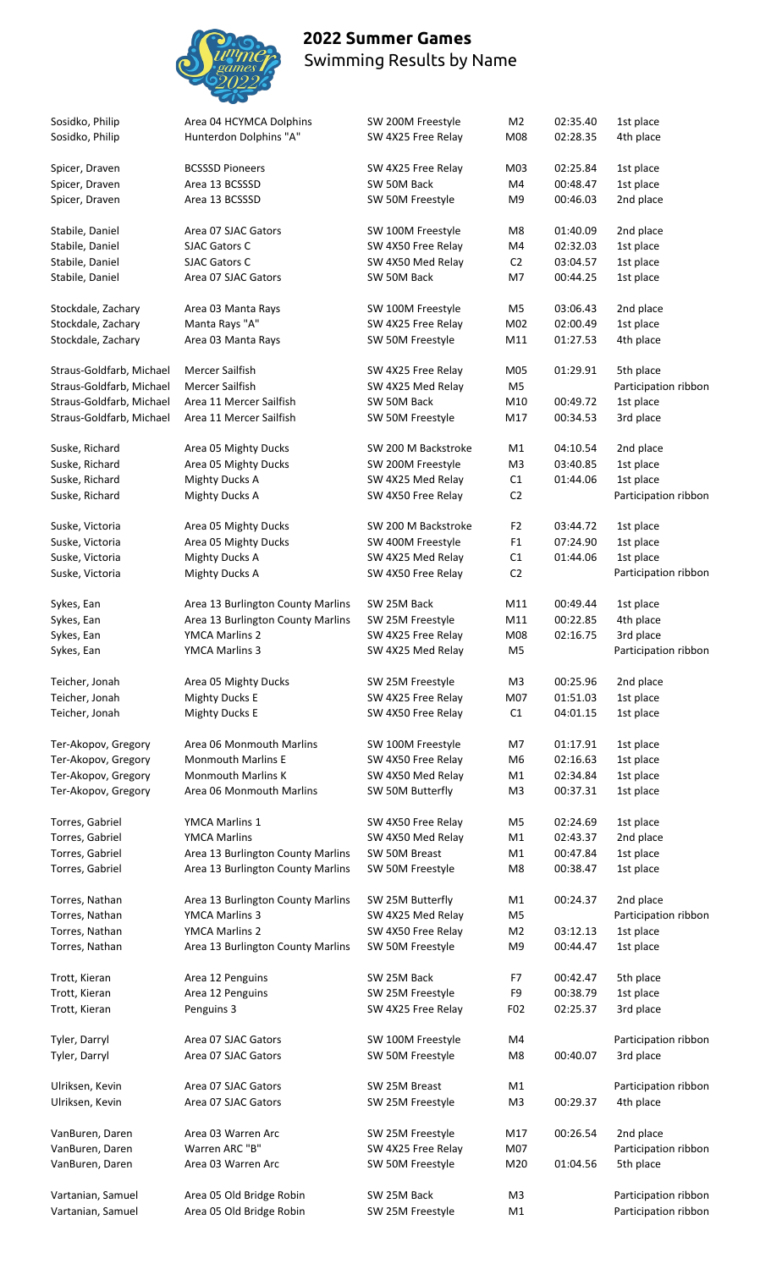

| Sosidko, Philip                  | Area 04 HCYMCA Dolphins           | SW 200M Freestyle                 | M2              | 02:35.40 | 1st place            |
|----------------------------------|-----------------------------------|-----------------------------------|-----------------|----------|----------------------|
| Sosidko, Philip                  | Hunterdon Dolphins "A"            | SW 4X25 Free Relay                | M08             | 02:28.35 | 4th place            |
|                                  | <b>BCSSSD Pioneers</b>            |                                   | M03             | 02:25.84 | 1st place            |
| Spicer, Draven<br>Spicer, Draven | Area 13 BCSSSD                    | SW 4X25 Free Relay<br>SW 50M Back | M4              | 00:48.47 | 1st place            |
| Spicer, Draven                   | Area 13 BCSSSD                    | SW 50M Freestyle                  | M <sub>9</sub>  | 00:46.03 | 2nd place            |
|                                  |                                   |                                   |                 |          |                      |
| Stabile, Daniel                  | Area 07 SJAC Gators               | SW 100M Freestyle                 | M8              | 01:40.09 | 2nd place            |
| Stabile, Daniel                  | <b>SJAC Gators C</b>              | SW 4X50 Free Relay                | M4              | 02:32.03 | 1st place            |
| Stabile, Daniel                  | <b>SJAC Gators C</b>              | SW 4X50 Med Relay                 | C <sub>2</sub>  | 03:04.57 | 1st place            |
| Stabile, Daniel                  | Area 07 SJAC Gators               | SW 50M Back                       | M7              | 00:44.25 | 1st place            |
| Stockdale, Zachary               | Area 03 Manta Rays                | SW 100M Freestyle                 | M5              | 03:06.43 | 2nd place            |
| Stockdale, Zachary               | Manta Rays "A"                    | SW 4X25 Free Relay                | M02             | 02:00.49 | 1st place            |
| Stockdale, Zachary               | Area 03 Manta Rays                | SW 50M Freestyle                  | M11             | 01:27.53 | 4th place            |
|                                  |                                   |                                   |                 |          |                      |
| Straus-Goldfarb, Michael         | Mercer Sailfish                   | SW 4X25 Free Relay                | M05             | 01:29.91 | 5th place            |
| Straus-Goldfarb, Michael         | <b>Mercer Sailfish</b>            | SW 4X25 Med Relay                 | M5              |          | Participation ribbon |
| Straus-Goldfarb, Michael         | Area 11 Mercer Sailfish           | SW 50M Back                       | M10             | 00:49.72 | 1st place            |
| Straus-Goldfarb, Michael         | Area 11 Mercer Sailfish           | SW 50M Freestyle                  | M17             | 00:34.53 | 3rd place            |
| Suske, Richard                   | Area 05 Mighty Ducks              | SW 200 M Backstroke               | M1              | 04:10.54 | 2nd place            |
| Suske, Richard                   |                                   |                                   |                 |          |                      |
|                                  | Area 05 Mighty Ducks              | SW 200M Freestyle                 | M <sub>3</sub>  | 03:40.85 | 1st place            |
| Suske, Richard                   | <b>Mighty Ducks A</b>             | SW 4X25 Med Relay                 | C1              | 01:44.06 | 1st place            |
| Suske, Richard                   | <b>Mighty Ducks A</b>             | SW 4X50 Free Relay                | C <sub>2</sub>  |          | Participation ribbon |
| Suske, Victoria                  | Area 05 Mighty Ducks              | SW 200 M Backstroke               | F <sub>2</sub>  | 03:44.72 | 1st place            |
| Suske, Victoria                  | Area 05 Mighty Ducks              | SW 400M Freestyle                 | F <sub>1</sub>  | 07:24.90 | 1st place            |
| Suske, Victoria                  | <b>Mighty Ducks A</b>             | SW 4X25 Med Relay                 | C1              | 01:44.06 | 1st place            |
| Suske, Victoria                  | <b>Mighty Ducks A</b>             | SW 4X50 Free Relay                | C <sub>2</sub>  |          | Participation ribbon |
|                                  |                                   |                                   |                 |          |                      |
| Sykes, Ean                       | Area 13 Burlington County Marlins | SW 25M Back                       | M11             | 00:49.44 | 1st place            |
| Sykes, Ean                       | Area 13 Burlington County Marlins | SW 25M Freestyle                  | M11             | 00:22.85 | 4th place            |
| Sykes, Ean                       | <b>YMCA Marlins 2</b>             | SW 4X25 Free Relay                | M08             | 02:16.75 | 3rd place            |
| Sykes, Ean                       | <b>YMCA Marlins 3</b>             | SW 4X25 Med Relay                 | M <sub>5</sub>  |          | Participation ribbon |
| Teicher, Jonah                   | Area 05 Mighty Ducks              | SW 25M Freestyle                  | M3              | 00:25.96 | 2nd place            |
| Teicher, Jonah                   | <b>Mighty Ducks E</b>             | SW 4X25 Free Relay                | M07             | 01:51.03 | 1st place            |
| Teicher, Jonah                   | <b>Mighty Ducks E</b>             | SW 4X50 Free Relay                | C1              | 04:01.15 | 1st place            |
|                                  |                                   |                                   |                 |          |                      |
| Ter-Akopov, Gregory              | Area 06 Monmouth Marlins          | SW 100M Freestyle                 | M7              | 01:17.91 | 1st place            |
| Ter-Akopov, Gregory              | <b>Monmouth Marlins E</b>         | SW 4X50 Free Relay                | M6              | 02:16.63 | 1st place            |
| Ter-Akopov, Gregory              | <b>Monmouth Marlins K</b>         | SW 4X50 Med Relay                 | M1              | 02:34.84 | 1st place            |
| Ter-Akopov, Gregory              | Area 06 Monmouth Marlins          | SW 50M Butterfly                  | M <sub>3</sub>  | 00:37.31 | 1st place            |
| Torres, Gabriel                  | YMCA Marlins 1                    | SW 4X50 Free Relay                | M5              | 02:24.69 | 1st place            |
| Torres, Gabriel                  | <b>YMCA Marlins</b>               | SW 4X50 Med Relay                 | M1              | 02:43.37 | 2nd place            |
| Torres, Gabriel                  | Area 13 Burlington County Marlins | SW 50M Breast                     | M1              | 00:47.84 | 1st place            |
| Torres, Gabriel                  | Area 13 Burlington County Marlins | SW 50M Freestyle                  | M <sub>8</sub>  | 00:38.47 | 1st place            |
|                                  |                                   |                                   |                 |          |                      |
| Torres, Nathan                   | Area 13 Burlington County Marlins | SW 25M Butterfly                  | M1              | 00:24.37 | 2nd place            |
| Torres, Nathan                   | YMCA Marlins 3                    | SW 4X25 Med Relay                 | M <sub>5</sub>  |          | Participation ribbon |
| Torres, Nathan                   | <b>YMCA Marlins 2</b>             | SW 4X50 Free Relay                | M <sub>2</sub>  | 03:12.13 | 1st place            |
| Torres, Nathan                   | Area 13 Burlington County Marlins | SW 50M Freestyle                  | M <sub>9</sub>  | 00:44.47 | 1st place            |
| Trott, Kieran                    | Area 12 Penguins                  | SW 25M Back                       | F7              | 00:42.47 | 5th place            |
| Trott, Kieran                    | Area 12 Penguins                  | SW 25M Freestyle                  | F9              | 00:38.79 | 1st place            |
| Trott, Kieran                    | Penguins 3                        | SW 4X25 Free Relay                | F <sub>02</sub> | 02:25.37 | 3rd place            |
|                                  |                                   |                                   |                 |          |                      |
| Tyler, Darryl                    | Area 07 SJAC Gators               | SW 100M Freestyle                 | M4              |          | Participation ribbon |
| Tyler, Darryl                    | Area 07 SJAC Gators               | SW 50M Freestyle                  | M8              | 00:40.07 | 3rd place            |
|                                  |                                   |                                   |                 |          |                      |
| Ulriksen, Kevin                  | Area 07 SJAC Gators               | SW 25M Breast                     | M1              |          | Participation ribbon |
| Ulriksen, Kevin                  | Area 07 SJAC Gators               | SW 25M Freestyle                  | M3              | 00:29.37 | 4th place            |
| VanBuren, Daren                  | Area 03 Warren Arc                | SW 25M Freestyle                  | M17             | 00:26.54 | 2nd place            |
| VanBuren, Daren                  | Warren ARC "B"                    | SW 4X25 Free Relay                | M07             |          | Participation ribbon |
| VanBuren, Daren                  | Area 03 Warren Arc                | SW 50M Freestyle                  | M20             | 01:04.56 | 5th place            |
|                                  |                                   |                                   |                 |          |                      |
| Vartanian, Samuel                | Area 05 Old Bridge Robin          | SW 25M Back                       | M3              |          | Participation ribbon |
| Vartanian, Samuel                | Area 05 Old Bridge Robin          | SW 25M Freestyle                  | M1              |          | Participation ribbon |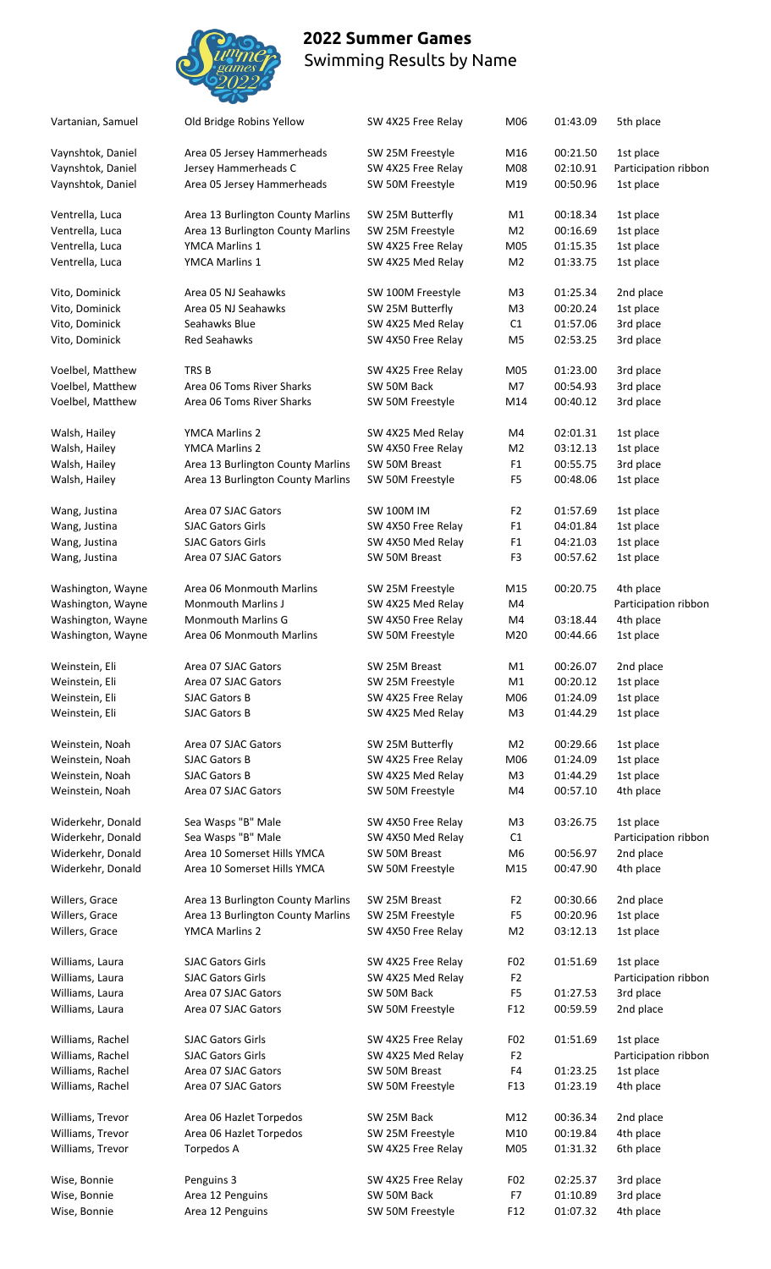

| Vartanian, Samuel                      | Old Bridge Robins Yellow                             | SW 4X25 Free Relay                      | M06                   | 01:43.09             | 5th place                         |
|----------------------------------------|------------------------------------------------------|-----------------------------------------|-----------------------|----------------------|-----------------------------------|
| Vaynshtok, Daniel                      | Area 05 Jersey Hammerheads                           | SW 25M Freestyle                        | M16                   | 00:21.50             | 1st place                         |
| Vaynshtok, Daniel<br>Vaynshtok, Daniel | Jersey Hammerheads C<br>Area 05 Jersey Hammerheads   | SW 4X25 Free Relay<br>SW 50M Freestyle  | M08<br>M19            | 02:10.91<br>00:50.96 | Participation ribbon<br>1st place |
| Ventrella, Luca                        | Area 13 Burlington County Marlins                    | SW 25M Butterfly                        | M1                    | 00:18.34             | 1st place                         |
| Ventrella, Luca                        |                                                      | SW 25M Freestyle                        |                       |                      | 1st place                         |
|                                        | Area 13 Burlington County Marlins                    |                                         | M <sub>2</sub>        | 00:16.69             |                                   |
| Ventrella, Luca                        | YMCA Marlins 1                                       | SW 4X25 Free Relay                      | M05                   | 01:15.35             | 1st place                         |
| Ventrella, Luca                        | <b>YMCA Marlins 1</b>                                | SW 4X25 Med Relay                       | M <sub>2</sub>        | 01:33.75             | 1st place                         |
| Vito, Dominick                         | Area 05 NJ Seahawks                                  | SW 100M Freestyle                       | M3                    | 01:25.34             | 2nd place                         |
| Vito, Dominick                         | Area 05 NJ Seahawks                                  | SW 25M Butterfly                        | M <sub>3</sub>        | 00:20.24             | 1st place                         |
| Vito, Dominick                         | Seahawks Blue                                        | SW 4X25 Med Relay                       | C1                    | 01:57.06             | 3rd place                         |
| Vito, Dominick                         | <b>Red Seahawks</b>                                  | SW 4X50 Free Relay                      | M <sub>5</sub>        | 02:53.25             | 3rd place                         |
| Voelbel, Matthew                       | TRS <sub>B</sub>                                     | SW 4X25 Free Relay                      | M05                   | 01:23.00             | 3rd place                         |
| Voelbel, Matthew                       | Area 06 Toms River Sharks                            | SW 50M Back                             | M7                    | 00:54.93             | 3rd place                         |
|                                        | Area 06 Toms River Sharks                            |                                         |                       |                      |                                   |
| Voelbel, Matthew                       |                                                      | SW 50M Freestyle                        | M14                   | 00:40.12             | 3rd place                         |
| Walsh, Hailey                          | <b>YMCA Marlins 2</b>                                | SW 4X25 Med Relay                       | M4                    | 02:01.31             | 1st place                         |
| Walsh, Hailey                          | <b>YMCA Marlins 2</b>                                | SW 4X50 Free Relay                      | M <sub>2</sub>        | 03:12.13             | 1st place                         |
| Walsh, Hailey                          | Area 13 Burlington County Marlins                    | SW 50M Breast                           | F1                    | 00:55.75             | 3rd place                         |
| Walsh, Hailey                          | Area 13 Burlington County Marlins                    | SW 50M Freestyle                        | F <sub>5</sub>        | 00:48.06             | 1st place                         |
|                                        | Area 07 SJAC Gators                                  | <b>SW 100M IM</b>                       | F <sub>2</sub>        | 01:57.69             |                                   |
| Wang, Justina                          |                                                      |                                         |                       |                      | 1st place                         |
| Wang, Justina                          | <b>SJAC Gators Girls</b>                             | SW 4X50 Free Relay                      | F <sub>1</sub>        | 04:01.84             | 1st place                         |
| Wang, Justina                          | <b>SJAC Gators Girls</b>                             | SW 4X50 Med Relay                       | F <sub>1</sub>        | 04:21.03             | 1st place                         |
| Wang, Justina                          | Area 07 SJAC Gators                                  | SW 50M Breast                           | F3                    | 00:57.62             | 1st place                         |
| Washington, Wayne                      | Area 06 Monmouth Marlins                             | SW 25M Freestyle                        | M15                   | 00:20.75             | 4th place                         |
| Washington, Wayne                      | <b>Monmouth Marlins J</b>                            | SW 4X25 Med Relay                       | M4                    |                      | Participation ribbon              |
| Washington, Wayne                      | <b>Monmouth Marlins G</b>                            | SW 4X50 Free Relay                      | M4                    | 03:18.44             | 4th place                         |
| Washington, Wayne                      | Area 06 Monmouth Marlins                             | SW 50M Freestyle                        | M20                   | 00:44.66             | 1st place                         |
|                                        |                                                      |                                         |                       |                      |                                   |
| Weinstein, Eli                         | Area 07 SJAC Gators                                  | SW 25M Breast                           | M <sub>1</sub>        | 00:26.07             | 2nd place                         |
| Weinstein, Eli                         | Area 07 SJAC Gators                                  | SW 25M Freestyle                        | M1                    | 00:20.12             | 1st place                         |
| Weinstein, Eli                         | SJAC Gators B                                        | SW 4X25 Free Relay                      | M06                   | 01:24.09             | 1st place                         |
| Weinstein, Eli                         | <b>SJAC Gators B</b>                                 | SW 4X25 Med Relay                       | M3                    | 01:44.29             | 1st place                         |
| Weinstein, Noah                        | Area 07 SJAC Gators                                  | SW 25M Butterfly                        | M <sub>2</sub>        | 00:29.66             | 1st place                         |
| Weinstein, Noah                        | <b>SJAC Gators B</b>                                 | SW 4X25 Free Relay                      | M06                   | 01:24.09             | 1st place                         |
| Weinstein, Noah                        | <b>SJAC Gators B</b>                                 | SW 4X25 Med Relay                       | M3                    | 01:44.29             | 1st place                         |
|                                        |                                                      |                                         |                       |                      |                                   |
| Weinstein, Noah                        | Area 07 SJAC Gators                                  | SW 50M Freestyle                        | M4                    | 00:57.10             | 4th place                         |
| Widerkehr, Donald                      | Sea Wasps "B" Male                                   | SW 4X50 Free Relay                      | M3                    | 03:26.75             | 1st place                         |
| Widerkehr, Donald                      | Sea Wasps "B" Male                                   | SW 4X50 Med Relay                       | C1                    |                      | Participation ribbon              |
| Widerkehr, Donald                      | Area 10 Somerset Hills YMCA                          | SW 50M Breast                           | M6                    | 00:56.97             | 2nd place                         |
| Widerkehr, Donald                      | Area 10 Somerset Hills YMCA                          | SW 50M Freestyle                        | M15                   | 00:47.90             | 4th place                         |
| Willers, Grace                         | Area 13 Burlington County Marlins                    | SW 25M Breast                           | F <sub>2</sub>        | 00:30.66             | 2nd place                         |
| Willers, Grace                         | Area 13 Burlington County Marlins                    | SW 25M Freestyle                        | F <sub>5</sub>        | 00:20.96             | 1st place                         |
|                                        |                                                      |                                         |                       |                      |                                   |
| Willers, Grace                         | YMCA Marlins 2                                       | SW 4X50 Free Relay                      | M <sub>2</sub>        | 03:12.13             | 1st place                         |
| Williams, Laura                        | <b>SJAC Gators Girls</b>                             | SW 4X25 Free Relay                      | F02                   | 01:51.69             | 1st place                         |
| Williams, Laura                        | <b>SJAC Gators Girls</b>                             | SW 4X25 Med Relay                       | F <sub>2</sub>        |                      | Participation ribbon              |
| Williams, Laura                        | Area 07 SJAC Gators                                  | SW 50M Back                             | F <sub>5</sub>        | 01:27.53             | 3rd place                         |
| Williams, Laura                        | Area 07 SJAC Gators                                  | SW 50M Freestyle                        | F <sub>12</sub>       | 00:59.59             | 2nd place                         |
|                                        |                                                      |                                         |                       |                      |                                   |
| Williams, Rachel<br>Williams, Rachel   | <b>SJAC Gators Girls</b><br><b>SJAC Gators Girls</b> | SW 4X25 Free Relay<br>SW 4X25 Med Relay | F02<br>F <sub>2</sub> | 01:51.69             | 1st place<br>Participation ribbon |
| Williams, Rachel                       | Area 07 SJAC Gators                                  | SW 50M Breast                           | F4                    | 01:23.25             | 1st place                         |
| Williams, Rachel                       | Area 07 SJAC Gators                                  | SW 50M Freestyle                        | F <sub>13</sub>       | 01:23.19             | 4th place                         |
|                                        |                                                      |                                         |                       |                      |                                   |
| Williams, Trevor                       | Area 06 Hazlet Torpedos<br>Area 06 Hazlet Torpedos   | SW 25M Back                             | M12                   | 00:36.34             | 2nd place                         |
| Williams, Trevor                       |                                                      | SW 25M Freestyle                        | M10                   | 00:19.84             | 4th place                         |
| Williams, Trevor                       | Torpedos A                                           | SW 4X25 Free Relay                      | M05                   | 01:31.32             | 6th place                         |
| Wise, Bonnie                           | Penguins 3                                           | SW 4X25 Free Relay                      | F <sub>02</sub>       | 02:25.37             | 3rd place                         |
| Wise, Bonnie                           | Area 12 Penguins                                     | SW 50M Back                             | F7                    | 01:10.89             | 3rd place                         |
| Wise, Bonnie                           | Area 12 Penguins                                     | SW 50M Freestyle                        | F <sub>12</sub>       | 01:07.32             | 4th place                         |
|                                        |                                                      |                                         |                       |                      |                                   |